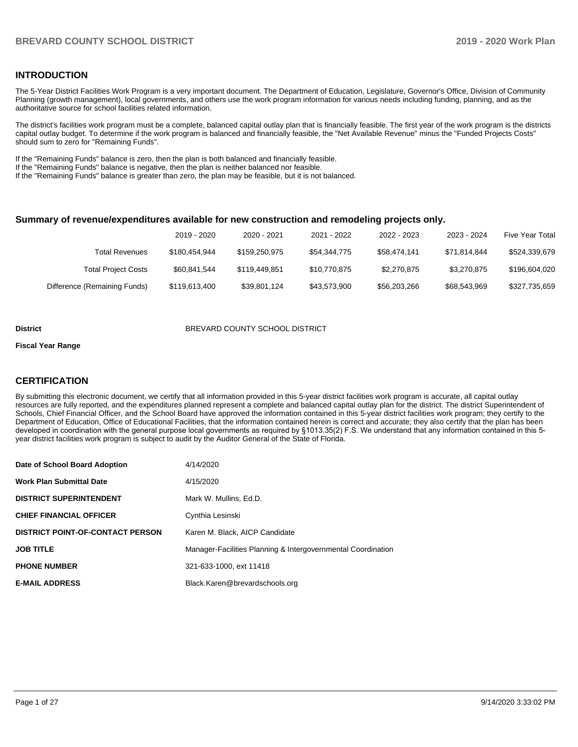#### **INTRODUCTION**

The 5-Year District Facilities Work Program is a very important document. The Department of Education, Legislature, Governor's Office, Division of Community Planning (growth management), local governments, and others use the work program information for various needs including funding, planning, and as the authoritative source for school facilities related information.

The district's facilities work program must be a complete, balanced capital outlay plan that is financially feasible. The first year of the work program is the districts capital outlay budget. To determine if the work program is balanced and financially feasible, the "Net Available Revenue" minus the "Funded Projects Costs" should sum to zero for "Remaining Funds".

If the "Remaining Funds" balance is zero, then the plan is both balanced and financially feasible.

If the "Remaining Funds" balance is negative, then the plan is neither balanced nor feasible.

If the "Remaining Funds" balance is greater than zero, the plan may be feasible, but it is not balanced.

#### **Summary of revenue/expenditures available for new construction and remodeling projects only.**

|                              | 2019 - 2020   | 2020 - 2021   | 2021 - 2022  | 2022 - 2023  | 2023 - 2024  | <b>Five Year Total</b> |
|------------------------------|---------------|---------------|--------------|--------------|--------------|------------------------|
| Total Revenues               | \$180.454.944 | \$159,250,975 | \$54,344,775 | \$58.474.141 | \$71.814.844 | \$524,339,679          |
| <b>Total Project Costs</b>   | \$60.841.544  | \$119,449,851 | \$10.770.875 | \$2,270,875  | \$3.270.875  | \$196,604,020          |
| Difference (Remaining Funds) | \$119,613,400 | \$39,801,124  | \$43.573.900 | \$56,203,266 | \$68,543,969 | \$327,735,659          |

#### **District BREVARD COUNTY SCHOOL DISTRICT**

#### **Fiscal Year Range**

## **CERTIFICATION**

By submitting this electronic document, we certify that all information provided in this 5-year district facilities work program is accurate, all capital outlay resources are fully reported, and the expenditures planned represent a complete and balanced capital outlay plan for the district. The district Superintendent of Schools, Chief Financial Officer, and the School Board have approved the information contained in this 5-year district facilities work program; they certify to the Department of Education, Office of Educational Facilities, that the information contained herein is correct and accurate; they also certify that the plan has been developed in coordination with the general purpose local governments as required by §1013.35(2) F.S. We understand that any information contained in this 5 year district facilities work program is subject to audit by the Auditor General of the State of Florida.

| Date of School Board Adoption           | 4/14/2020                                                    |
|-----------------------------------------|--------------------------------------------------------------|
| <b>Work Plan Submittal Date</b>         | 4/15/2020                                                    |
| <b>DISTRICT SUPERINTENDENT</b>          | Mark W. Mullins, Ed.D.                                       |
| <b>CHIEF FINANCIAL OFFICER</b>          | Cynthia Lesinski                                             |
| <b>DISTRICT POINT-OF-CONTACT PERSON</b> | Karen M. Black, AICP Candidate                               |
| <b>JOB TITLE</b>                        | Manager-Facilities Planning & Intergovernmental Coordination |
| <b>PHONE NUMBER</b>                     | 321-633-1000, ext 11418                                      |
| <b>E-MAIL ADDRESS</b>                   | Black.Karen@brevardschools.org                               |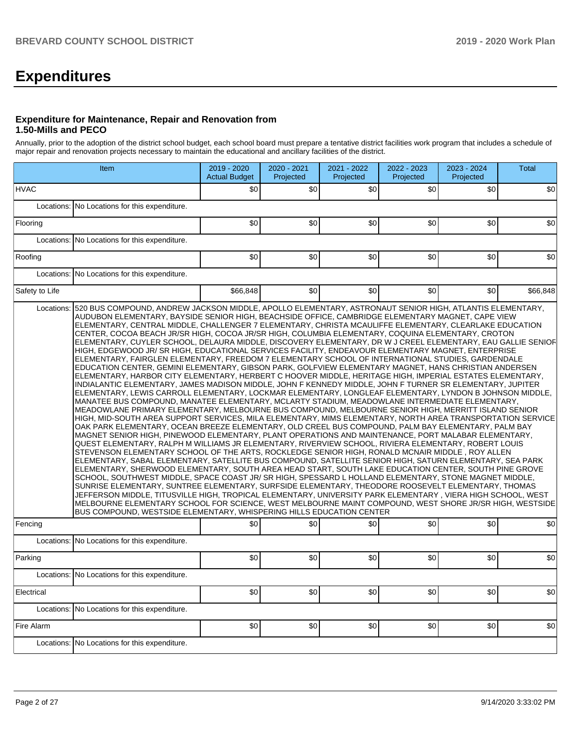# **Expenditures**

#### **Expenditure for Maintenance, Repair and Renovation from 1.50-Mills and PECO**

Annually, prior to the adoption of the district school budget, each school board must prepare a tentative district facilities work program that includes a schedule of major repair and renovation projects necessary to maintain the educational and ancillary facilities of the district.

|                | Item                                                                                                                                                                                                                                                                                                                                                                                                                                                                                                                                                                                                                                                                                                                                                                                                                                                                                                                                                                                                                                                                                                                                                                                                                                                                                                                                                                                                                                                                                                                                                                                                                                                                                                                                                                                                                                                                                                                                                                                                                                                                                                                                                                                                                                                                                                                                                                                                                                                                         |          | 2020 - 2021<br>Projected | 2021 - 2022<br>Projected | 2022 - 2023<br>Projected | 2023 - 2024<br>Projected | <b>Total</b> |
|----------------|------------------------------------------------------------------------------------------------------------------------------------------------------------------------------------------------------------------------------------------------------------------------------------------------------------------------------------------------------------------------------------------------------------------------------------------------------------------------------------------------------------------------------------------------------------------------------------------------------------------------------------------------------------------------------------------------------------------------------------------------------------------------------------------------------------------------------------------------------------------------------------------------------------------------------------------------------------------------------------------------------------------------------------------------------------------------------------------------------------------------------------------------------------------------------------------------------------------------------------------------------------------------------------------------------------------------------------------------------------------------------------------------------------------------------------------------------------------------------------------------------------------------------------------------------------------------------------------------------------------------------------------------------------------------------------------------------------------------------------------------------------------------------------------------------------------------------------------------------------------------------------------------------------------------------------------------------------------------------------------------------------------------------------------------------------------------------------------------------------------------------------------------------------------------------------------------------------------------------------------------------------------------------------------------------------------------------------------------------------------------------------------------------------------------------------------------------------------------------|----------|--------------------------|--------------------------|--------------------------|--------------------------|--------------|
| <b>HVAC</b>    |                                                                                                                                                                                                                                                                                                                                                                                                                                                                                                                                                                                                                                                                                                                                                                                                                                                                                                                                                                                                                                                                                                                                                                                                                                                                                                                                                                                                                                                                                                                                                                                                                                                                                                                                                                                                                                                                                                                                                                                                                                                                                                                                                                                                                                                                                                                                                                                                                                                                              | \$0      | \$0                      | \$0                      | \$0                      | \$0                      | \$0          |
| Locations:     | No Locations for this expenditure.                                                                                                                                                                                                                                                                                                                                                                                                                                                                                                                                                                                                                                                                                                                                                                                                                                                                                                                                                                                                                                                                                                                                                                                                                                                                                                                                                                                                                                                                                                                                                                                                                                                                                                                                                                                                                                                                                                                                                                                                                                                                                                                                                                                                                                                                                                                                                                                                                                           |          |                          |                          |                          |                          |              |
| Flooring       |                                                                                                                                                                                                                                                                                                                                                                                                                                                                                                                                                                                                                                                                                                                                                                                                                                                                                                                                                                                                                                                                                                                                                                                                                                                                                                                                                                                                                                                                                                                                                                                                                                                                                                                                                                                                                                                                                                                                                                                                                                                                                                                                                                                                                                                                                                                                                                                                                                                                              | \$0      | \$0                      | \$0                      | \$0                      | \$0                      | \$0          |
| Locations:     | No Locations for this expenditure.                                                                                                                                                                                                                                                                                                                                                                                                                                                                                                                                                                                                                                                                                                                                                                                                                                                                                                                                                                                                                                                                                                                                                                                                                                                                                                                                                                                                                                                                                                                                                                                                                                                                                                                                                                                                                                                                                                                                                                                                                                                                                                                                                                                                                                                                                                                                                                                                                                           |          |                          |                          |                          |                          |              |
| Roofing        |                                                                                                                                                                                                                                                                                                                                                                                                                                                                                                                                                                                                                                                                                                                                                                                                                                                                                                                                                                                                                                                                                                                                                                                                                                                                                                                                                                                                                                                                                                                                                                                                                                                                                                                                                                                                                                                                                                                                                                                                                                                                                                                                                                                                                                                                                                                                                                                                                                                                              | \$0      | \$0                      | \$0                      | \$0                      | \$0                      | \$0          |
|                | Locations: No Locations for this expenditure.                                                                                                                                                                                                                                                                                                                                                                                                                                                                                                                                                                                                                                                                                                                                                                                                                                                                                                                                                                                                                                                                                                                                                                                                                                                                                                                                                                                                                                                                                                                                                                                                                                                                                                                                                                                                                                                                                                                                                                                                                                                                                                                                                                                                                                                                                                                                                                                                                                |          |                          |                          |                          |                          |              |
| Safety to Life |                                                                                                                                                                                                                                                                                                                                                                                                                                                                                                                                                                                                                                                                                                                                                                                                                                                                                                                                                                                                                                                                                                                                                                                                                                                                                                                                                                                                                                                                                                                                                                                                                                                                                                                                                                                                                                                                                                                                                                                                                                                                                                                                                                                                                                                                                                                                                                                                                                                                              | \$66,848 | \$0                      | \$0                      | \$0                      | \$0                      | \$66,848     |
|                | ELEMENTARY, CENTRAL MIDDLE, CHALLENGER 7 ELEMENTARY, CHRISTA MCAULIFFE ELEMENTARY, CLEARLAKE EDUCATION<br>CENTER, COCOA BEACH JR/SR HIGH, COCOA JR/SR HIGH, COLUMBIA ELEMENTARY, COQUINA ELEMENTARY, CROTON<br>ELEMENTARY, CUYLER SCHOOL, DELAURA MIDDLE, DISCOVERY ELEMENTARY, DR W J CREEL ELEMENTARY, EAU GALLIE SENIOF <br>HIGH, EDGEWOOD JR/ SR HIGH, EDUCATIONAL SERVICES FACILITY, ENDEAVOUR ELEMENTARY MAGNET, ENTERPRISE<br>ELEMENTARY, FAIRGLEN ELEMENTARY, FREEDOM 7 ELEMENTARY SCHOOL OF INTERNATIONAL STUDIES, GARDENDALE<br>EDUCATION CENTER, GEMINI ELEMENTARY, GIBSON PARK, GOLFVIEW ELEMENTARY MAGNET, HANS CHRISTIAN ANDERSEN<br>ELEMENTARY, HARBOR CITY ELEMENTARY, HERBERT C HOOVER MIDDLE, HERITAGE HIGH, IMPERIAL ESTATES ELEMENTARY,<br>INDIALANTIC ELEMENTARY, JAMES MADISON MIDDLE, JOHN F KENNEDY MIDDLE, JOHN F TURNER SR ELEMENTARY, JUPITER<br>ELEMENTARY, LEWIS CARROLL ELEMENTARY, LOCKMAR ELEMENTARY, LONGLEAF ELEMENTARY, LYNDON B JOHNSON MIDDLE,<br>MANATEE BUS COMPOUND, MANATEE ELEMENTARY, MCLARTY STADIUM, MEADOWLANE INTERMEDIATE ELEMENTARY,<br>MEADOWLANE PRIMARY ELEMENTARY, MELBOURNE BUS COMPOUND, MELBOURNE SENIOR HIGH, MERRITT ISLAND SENIOR<br>HIGH, MID-SOUTH AREA SUPPORT SERVICES, MILA ELEMENTARY, MIMS ELEMENTARY, NORTH AREA TRANSPORTATION SERVICE<br>OAK PARK ELEMENTARY, OCEAN BREEZE ELEMENTARY, OLD CREEL BUS COMPOUND, PALM BAY ELEMENTARY, PALM BAY<br>MAGNET SENIOR HIGH, PINEWOOD ELEMENTARY, PLANT OPERATIONS AND MAINTENANCE, PORT MALABAR ELEMENTARY,<br>QUEST ELEMENTARY, RALPH M WILLIAMS JR ELEMENTARY, RIVERVIEW SCHOOL, RIVIERA ELEMENTARY, ROBERT LOUIS<br>STEVENSON ELEMENTARY SCHOOL OF THE ARTS, ROCKLEDGE SENIOR HIGH, RONALD MCNAIR MIDDLE , ROY ALLEN<br>ELEMENTARY, SABAL ELEMENTARY, SATELLITE BUS COMPOUND, SATELLITE SENIOR HIGH, SATURN ELEMENTARY, SEA PARK<br>ELEMENTARY, SHERWOOD ELEMENTARY, SOUTH AREA HEAD START, SOUTH LAKE EDUCATION CENTER, SOUTH PINE GROVE<br>SCHOOL, SOUTHWEST MIDDLE, SPACE COAST JR/ SR HIGH, SPESSARD L HOLLAND ELEMENTARY, STONE MAGNET MIDDLE,<br>SUNRISE ELEMENTARY, SUNTREE ELEMENTARY, SURFSIDE ELEMENTARY, THEODORE ROOSEVELT ELEMENTARY, THOMAS<br>JEFFERSON MIDDLE, TITUSVILLE HIGH, TROPICAL ELEMENTARY, UNIVERSITY PARK ELEMENTARY , VIERA HIGH SCHOOL, WEST<br>MELBOURNE ELEMENTARY SCHOOL FOR SCIENCE, WEST MELBOURNE MAINT COMPOUND, WEST SHORE JR/SR HIGH, WESTSIDE<br>BUS COMPOUND, WESTSIDE ELEMENTARY, WHISPERING HILLS EDUCATION CENTER | \$0      | \$0                      | \$0                      | \$0                      | \$0                      | \$0          |
| Fencing        |                                                                                                                                                                                                                                                                                                                                                                                                                                                                                                                                                                                                                                                                                                                                                                                                                                                                                                                                                                                                                                                                                                                                                                                                                                                                                                                                                                                                                                                                                                                                                                                                                                                                                                                                                                                                                                                                                                                                                                                                                                                                                                                                                                                                                                                                                                                                                                                                                                                                              |          |                          |                          |                          |                          |              |
| Locations:     | No Locations for this expenditure.                                                                                                                                                                                                                                                                                                                                                                                                                                                                                                                                                                                                                                                                                                                                                                                                                                                                                                                                                                                                                                                                                                                                                                                                                                                                                                                                                                                                                                                                                                                                                                                                                                                                                                                                                                                                                                                                                                                                                                                                                                                                                                                                                                                                                                                                                                                                                                                                                                           |          |                          |                          |                          |                          |              |
| Parking        |                                                                                                                                                                                                                                                                                                                                                                                                                                                                                                                                                                                                                                                                                                                                                                                                                                                                                                                                                                                                                                                                                                                                                                                                                                                                                                                                                                                                                                                                                                                                                                                                                                                                                                                                                                                                                                                                                                                                                                                                                                                                                                                                                                                                                                                                                                                                                                                                                                                                              | \$0      | \$0                      | \$0                      | \$0                      | \$0                      | \$0          |
|                | Locations: No Locations for this expenditure.                                                                                                                                                                                                                                                                                                                                                                                                                                                                                                                                                                                                                                                                                                                                                                                                                                                                                                                                                                                                                                                                                                                                                                                                                                                                                                                                                                                                                                                                                                                                                                                                                                                                                                                                                                                                                                                                                                                                                                                                                                                                                                                                                                                                                                                                                                                                                                                                                                |          |                          |                          |                          |                          |              |
| Electrical     |                                                                                                                                                                                                                                                                                                                                                                                                                                                                                                                                                                                                                                                                                                                                                                                                                                                                                                                                                                                                                                                                                                                                                                                                                                                                                                                                                                                                                                                                                                                                                                                                                                                                                                                                                                                                                                                                                                                                                                                                                                                                                                                                                                                                                                                                                                                                                                                                                                                                              | \$0      | \$0                      | \$0                      | \$0                      | \$0                      | \$0          |
| Locations:     | No Locations for this expenditure.                                                                                                                                                                                                                                                                                                                                                                                                                                                                                                                                                                                                                                                                                                                                                                                                                                                                                                                                                                                                                                                                                                                                                                                                                                                                                                                                                                                                                                                                                                                                                                                                                                                                                                                                                                                                                                                                                                                                                                                                                                                                                                                                                                                                                                                                                                                                                                                                                                           |          |                          |                          |                          |                          |              |
| Fire Alarm     |                                                                                                                                                                                                                                                                                                                                                                                                                                                                                                                                                                                                                                                                                                                                                                                                                                                                                                                                                                                                                                                                                                                                                                                                                                                                                                                                                                                                                                                                                                                                                                                                                                                                                                                                                                                                                                                                                                                                                                                                                                                                                                                                                                                                                                                                                                                                                                                                                                                                              | \$0      | \$0                      | \$0                      | \$0                      | \$0                      | \$0          |
|                | Locations: No Locations for this expenditure.                                                                                                                                                                                                                                                                                                                                                                                                                                                                                                                                                                                                                                                                                                                                                                                                                                                                                                                                                                                                                                                                                                                                                                                                                                                                                                                                                                                                                                                                                                                                                                                                                                                                                                                                                                                                                                                                                                                                                                                                                                                                                                                                                                                                                                                                                                                                                                                                                                |          |                          |                          |                          |                          |              |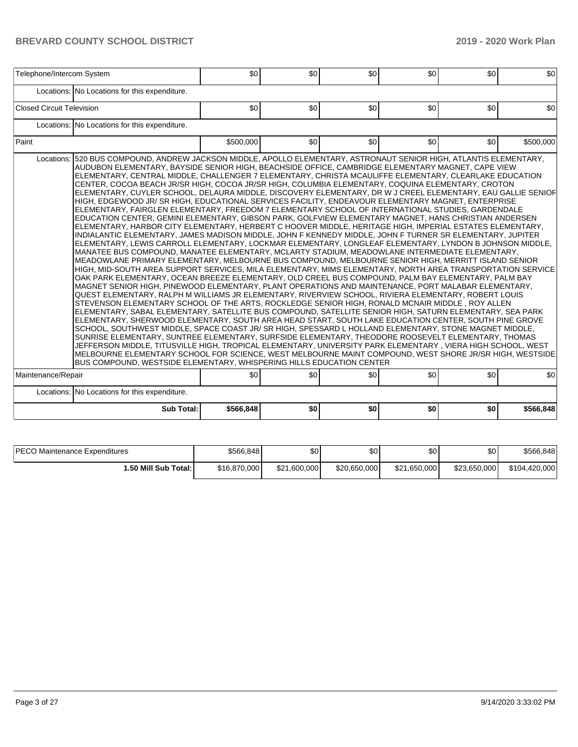| Locations: No Locations for this expenditure.<br>\$0<br>\$0<br>Locations: No Locations for this expenditure.<br>\$500.000<br>\$0<br>Locations: 520 BUS COMPOUND, ANDREW JACKSON MIDDLE, APOLLO ELEMENTARY, ASTRONAUT SENIOR HIGH, ATLANTIS ELEMENTARY,<br>AUDUBON ELEMENTARY, BAYSIDE SENIOR HIGH, BEACHSIDE OFFICE, CAMBRIDGE ELEMENTARY MAGNET, CAPE VIEW<br>ELEMENTARY, CENTRAL MIDDLE, CHALLENGER 7 ELEMENTARY, CHRISTA MCAULIFFE ELEMENTARY, CLEARLAKE EDUCATION<br>CENTER, COCOA BEACH JR/SR HIGH, COCOA JR/SR HIGH, COLUMBIA ELEMENTARY, COQUINA ELEMENTARY, CROTON<br>ELEMENTARY, CUYLER SCHOOL, DELAURA MIDDLE, DISCOVERY ELEMENTARY, DR W J CREEL ELEMENTARY, EAU GALLIE SENIOF<br>HIGH, EDGEWOOD JR/ SR HIGH, EDUCATIONAL SERVICES FACILITY, ENDEAVOUR ELEMENTARY MAGNET, ENTERPRISE<br>ELEMENTARY, FAIRGLEN ELEMENTARY, FREEDOM 7 ELEMENTARY SCHOOL OF INTERNATIONAL STUDIES, GARDENDALE<br>EDUCATION CENTER, GEMINI ELEMENTARY, GIBSON PARK, GOLFVIEW ELEMENTARY MAGNET, HANS CHRISTIAN ANDERSEN<br>ELEMENTARY, HARBOR CITY ELEMENTARY, HERBERT C HOOVER MIDDLE, HERITAGE HIGH, IMPERIAL ESTATES ELEMENTARY,<br>INDIALANTIC ELEMENTARY, JAMES MADISON MIDDLE, JOHN F KENNEDY MIDDLE, JOHN F TURNER SR ELEMENTARY, JUPITER<br>ELEMENTARY, LEWIS CARROLL ELEMENTARY, LOCKMAR ELEMENTARY, LONGLEAF ELEMENTARY, LYNDON B JOHNSON MIDDLE,<br>MANATEE BUS COMPOUND, MANATEE ELEMENTARY, MCLARTY STADIUM, MEADOWLANE INTERMEDIATE ELEMENTARY,<br>MEADOWLANE PRIMARY ELEMENTARY, MELBOURNE BUS COMPOUND, MELBOURNE SENIOR HIGH, MERRITT ISLAND SENIOR<br>HIGH, MID-SOUTH AREA SUPPORT SERVICES, MILA ELEMENTARY, MIMS ELEMENTARY, NORTH AREA TRANSPORTATION SERVICE<br>OAK PARK ELEMENTARY, OCEAN BREEZE ELEMENTARY, OLD CREEL BUS COMPOUND, PALM BAY ELEMENTARY, PALM BAY<br>MAGNET SENIOR HIGH, PINEWOOD ELEMENTARY, PLANT OPERATIONS AND MAINTENANCE, PORT MALABAR ELEMENTARY,<br>QUEST ELEMENTARY, RALPH M WILLIAMS JR ELEMENTARY, RIVERVIEW SCHOOL, RIVIERA ELEMENTARY, ROBERT LOUIS<br>STEVENSON ELEMENTARY SCHOOL OF THE ARTS, ROCKLEDGE SENIOR HIGH, RONALD MCNAIR MIDDLE, ROY ALLEN<br>ELEMENTARY, SABAL ELEMENTARY, SATELLITE BUS COMPOUND, SATELLITE SENIOR HIGH, SATURN ELEMENTARY, SEA PARK<br>ELEMENTARY, SHERWOOD ELEMENTARY, SOUTH AREA HEAD START, SOUTH LAKE EDUCATION CENTER, SOUTH PINE GROVE<br>SCHOOL, SOUTHWEST MIDDLE, SPACE COAST JR/SR HIGH, SPESSARD L HOLLAND ELEMENTARY, STONE MAGNET MIDDLE,<br>SUNRISE ELEMENTARY, SUNTREE ELEMENTARY, SURFSIDE ELEMENTARY, THEODORE ROOSEVELT ELEMENTARY, THOMAS<br>JEFFERSON MIDDLE, TITUSVILLE HIGH, TROPICAL ELEMENTARY, UNIVERSITY PARK ELEMENTARY , VIERA HIGH SCHOOL, WEST<br>MELBOURNE ELEMENTARY SCHOOL FOR SCIENCE, WEST MELBOURNE MAINT COMPOUND, WEST SHORE JR/SR HIGH, WESTSIDE<br>BUS COMPOUND, WESTSIDE ELEMENTARY, WHISPERING HILLS EDUCATION CENTER | \$0<br>\$0 <sub>1</sub> | \$0<br>\$0<br>\$0<br>\$0 | \$0<br>\$500,000 |
|------------------------------------------------------------------------------------------------------------------------------------------------------------------------------------------------------------------------------------------------------------------------------------------------------------------------------------------------------------------------------------------------------------------------------------------------------------------------------------------------------------------------------------------------------------------------------------------------------------------------------------------------------------------------------------------------------------------------------------------------------------------------------------------------------------------------------------------------------------------------------------------------------------------------------------------------------------------------------------------------------------------------------------------------------------------------------------------------------------------------------------------------------------------------------------------------------------------------------------------------------------------------------------------------------------------------------------------------------------------------------------------------------------------------------------------------------------------------------------------------------------------------------------------------------------------------------------------------------------------------------------------------------------------------------------------------------------------------------------------------------------------------------------------------------------------------------------------------------------------------------------------------------------------------------------------------------------------------------------------------------------------------------------------------------------------------------------------------------------------------------------------------------------------------------------------------------------------------------------------------------------------------------------------------------------------------------------------------------------------------------------------------------------------------------------------------------------------------------------------------------------------------------------------------------------------------------------------------------------------------------------------------------------------------------------------------------------------------------------------------------------------------------------------------------------------------------------------|-------------------------|--------------------------|------------------|
| Closed Circuit Television                                                                                                                                                                                                                                                                                                                                                                                                                                                                                                                                                                                                                                                                                                                                                                                                                                                                                                                                                                                                                                                                                                                                                                                                                                                                                                                                                                                                                                                                                                                                                                                                                                                                                                                                                                                                                                                                                                                                                                                                                                                                                                                                                                                                                                                                                                                                                                                                                                                                                                                                                                                                                                                                                                                                                                                                                |                         |                          |                  |
|                                                                                                                                                                                                                                                                                                                                                                                                                                                                                                                                                                                                                                                                                                                                                                                                                                                                                                                                                                                                                                                                                                                                                                                                                                                                                                                                                                                                                                                                                                                                                                                                                                                                                                                                                                                                                                                                                                                                                                                                                                                                                                                                                                                                                                                                                                                                                                                                                                                                                                                                                                                                                                                                                                                                                                                                                                          |                         |                          |                  |
| Paint                                                                                                                                                                                                                                                                                                                                                                                                                                                                                                                                                                                                                                                                                                                                                                                                                                                                                                                                                                                                                                                                                                                                                                                                                                                                                                                                                                                                                                                                                                                                                                                                                                                                                                                                                                                                                                                                                                                                                                                                                                                                                                                                                                                                                                                                                                                                                                                                                                                                                                                                                                                                                                                                                                                                                                                                                                    |                         |                          |                  |
|                                                                                                                                                                                                                                                                                                                                                                                                                                                                                                                                                                                                                                                                                                                                                                                                                                                                                                                                                                                                                                                                                                                                                                                                                                                                                                                                                                                                                                                                                                                                                                                                                                                                                                                                                                                                                                                                                                                                                                                                                                                                                                                                                                                                                                                                                                                                                                                                                                                                                                                                                                                                                                                                                                                                                                                                                                          |                         |                          |                  |
|                                                                                                                                                                                                                                                                                                                                                                                                                                                                                                                                                                                                                                                                                                                                                                                                                                                                                                                                                                                                                                                                                                                                                                                                                                                                                                                                                                                                                                                                                                                                                                                                                                                                                                                                                                                                                                                                                                                                                                                                                                                                                                                                                                                                                                                                                                                                                                                                                                                                                                                                                                                                                                                                                                                                                                                                                                          |                         |                          |                  |
| Maintenance/Repair<br>\$0<br>\$0                                                                                                                                                                                                                                                                                                                                                                                                                                                                                                                                                                                                                                                                                                                                                                                                                                                                                                                                                                                                                                                                                                                                                                                                                                                                                                                                                                                                                                                                                                                                                                                                                                                                                                                                                                                                                                                                                                                                                                                                                                                                                                                                                                                                                                                                                                                                                                                                                                                                                                                                                                                                                                                                                                                                                                                                         | \$0                     | \$0<br>\$0               | \$0              |
| Locations: No Locations for this expenditure.                                                                                                                                                                                                                                                                                                                                                                                                                                                                                                                                                                                                                                                                                                                                                                                                                                                                                                                                                                                                                                                                                                                                                                                                                                                                                                                                                                                                                                                                                                                                                                                                                                                                                                                                                                                                                                                                                                                                                                                                                                                                                                                                                                                                                                                                                                                                                                                                                                                                                                                                                                                                                                                                                                                                                                                            |                         |                          |                  |
| <b>Sub Total:</b><br>\$566,848<br>\$0                                                                                                                                                                                                                                                                                                                                                                                                                                                                                                                                                                                                                                                                                                                                                                                                                                                                                                                                                                                                                                                                                                                                                                                                                                                                                                                                                                                                                                                                                                                                                                                                                                                                                                                                                                                                                                                                                                                                                                                                                                                                                                                                                                                                                                                                                                                                                                                                                                                                                                                                                                                                                                                                                                                                                                                                    |                         |                          | \$566,848        |

| <b>IPECO Maintenance Expenditures</b> | \$566,848    | ሖ<br>JU.     | \$0          | \$0          | \$0          | \$566.848     |
|---------------------------------------|--------------|--------------|--------------|--------------|--------------|---------------|
| <b>1.50 Mill Sub Total: I</b>         | \$16,870,000 | \$21,600,000 | \$20,650,000 | \$21,650,000 | \$23.650,000 | \$104,420,000 |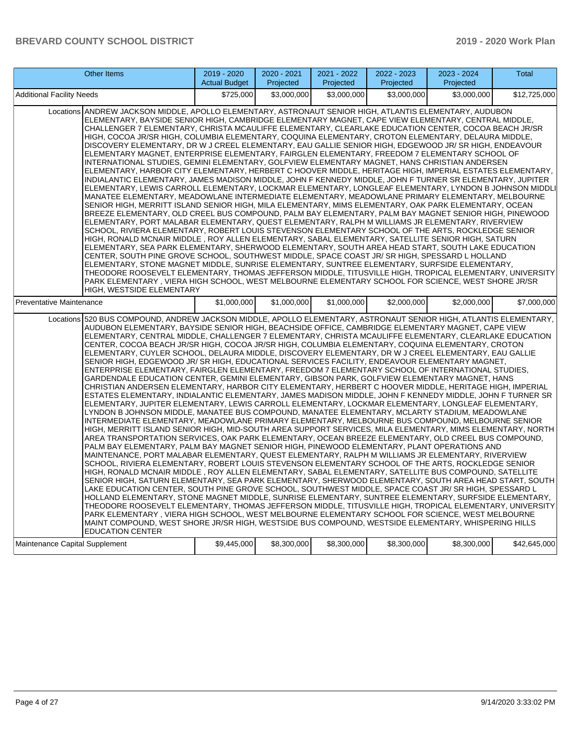| Other Items                                                                                                                                                                                                                                                                                                                                                                                                                                                                                                                                                                                                                                                                                                                                                                                                                                                                                                                                                                                                                                                                                                                                                                                                                                                                                                                                                                                                                                                                                                                                                                                                                                                                                                                                                                                                                                                                                                                                                                                                                                                                                                                                                                                                                                                                                                                                                                                                                                                                                                                                                                                                                                                                                                    | 2019 - 2020<br><b>Actual Budget</b> | 2020 - 2021<br>Projected | 2021 - 2022<br>Projected | 2022 - 2023<br>Projected | 2023 - 2024<br>Projected | <b>Total</b> |
|----------------------------------------------------------------------------------------------------------------------------------------------------------------------------------------------------------------------------------------------------------------------------------------------------------------------------------------------------------------------------------------------------------------------------------------------------------------------------------------------------------------------------------------------------------------------------------------------------------------------------------------------------------------------------------------------------------------------------------------------------------------------------------------------------------------------------------------------------------------------------------------------------------------------------------------------------------------------------------------------------------------------------------------------------------------------------------------------------------------------------------------------------------------------------------------------------------------------------------------------------------------------------------------------------------------------------------------------------------------------------------------------------------------------------------------------------------------------------------------------------------------------------------------------------------------------------------------------------------------------------------------------------------------------------------------------------------------------------------------------------------------------------------------------------------------------------------------------------------------------------------------------------------------------------------------------------------------------------------------------------------------------------------------------------------------------------------------------------------------------------------------------------------------------------------------------------------------------------------------------------------------------------------------------------------------------------------------------------------------------------------------------------------------------------------------------------------------------------------------------------------------------------------------------------------------------------------------------------------------------------------------------------------------------------------------------------------------|-------------------------------------|--------------------------|--------------------------|--------------------------|--------------------------|--------------|
| Additional Facility Needs                                                                                                                                                                                                                                                                                                                                                                                                                                                                                                                                                                                                                                                                                                                                                                                                                                                                                                                                                                                                                                                                                                                                                                                                                                                                                                                                                                                                                                                                                                                                                                                                                                                                                                                                                                                                                                                                                                                                                                                                                                                                                                                                                                                                                                                                                                                                                                                                                                                                                                                                                                                                                                                                                      | \$725,000                           | \$3,000,000              | \$3,000,000              | \$3,000,000              | \$3,000,000              | \$12,725,000 |
| ANDREW JACKSON MIDDLE, APOLLO ELEMENTARY, ASTRONAUT SENIOR HIGH, ATLANTIS ELEMENTARY, AUDUBON<br>Locations<br>ELEMENTARY, BAYSIDE SENIOR HIGH, CAMBRIDGE ELEMENTARY MAGNET, CAPE VIEW ELEMENTARY, CENTRAL MIDDLE,<br>CHALLENGER 7 ELEMENTARY, CHRISTA MCAULIFFE ELEMENTARY, CLEARLAKE EDUCATION CENTER, COCOA BEACH JR/SR<br>HIGH, COCOA JR/SR HIGH, COLUMBIA ELEMENTARY, COQUINA ELEMENTARY, CROTON ELEMENTARY, DELAURA MIDDLE,<br>DISCOVERY ELEMENTARY, DR W J CREEL ELEMENTARY, EAU GALLIE SENIOR HIGH, EDGEWOOD JR/ SR HIGH, ENDEAVOUR<br>ELEMENTARY MAGNET, ENTERPRISE ELEMENTARY, FAIRGLEN ELEMENTARY, FREEDOM 7 ELEMENTARY SCHOOL OF<br>INTERNATIONAL STUDIES, GEMINI ELEMENTARY, GOLFVIEW ELEMENTARY MAGNET, HANS CHRISTIAN ANDERSEN<br>ELEMENTARY, HARBOR CITY ELEMENTARY, HERBERT C HOOVER MIDDLE, HERITAGE HIGH, IMPERIAL ESTATES ELEMENTARY,<br>INDIALANTIC ELEMENTARY, JAMES MADISON MIDDLE, JOHN F KENNEDY MIDDLE, JOHN F TURNER SR ELEMENTARY, JUPITER<br>ELEMENTARY, LEWIS CARROLL ELEMENTARY, LOCKMAR ELEMENTARY, LONGLEAF ELEMENTARY, LYNDON B JOHNSON MIDDLI<br>MANATEE ELEMENTARY, MEADOWLANE INTERMEDIATE ELEMENTARY, MEADOWLANE PRIMARY ELEMENTARY, MELBOURNE<br>SENIOR HIGH, MERRITT ISLAND SENIOR HIGH, MILA ELEMENTARY, MIMS ELEMENTARY, OAK PARK ELEMENTARY, OCEAN<br>BREEZE ELEMENTARY, OLD CREEL BUS COMPOUND, PALM BAY ELEMENTARY, PALM BAY MAGNET SENIOR HIGH, PINEWOOD<br>ELEMENTARY, PORT MALABAR ELEMENTARY, QUEST ELEMENTARY, RALPH M WILLIAMS JR ELEMENTARY, RIVERVIEW<br>SCHOOL, RIVIERA ELEMENTARY, ROBERT LOUIS STEVENSON ELEMENTARY SCHOOL OF THE ARTS, ROCKLEDGE SENIOR<br>HIGH, RONALD MCNAIR MIDDLE , ROY ALLEN ELEMENTARY, SABAL ELEMENTARY, SATELLITE SENIOR HIGH, SATURN<br>ELEMENTARY, SEA PARK ELEMENTARY, SHERWOOD ELEMENTARY, SOUTH AREA HEAD START, SOUTH LAKE EDUCATION<br>CENTER, SOUTH PINE GROVE SCHOOL, SOUTHWEST MIDDLE, SPACE COAST JR/ SR HIGH, SPESSARD L HOLLAND<br>ELEMENTARY, STONE MAGNET MIDDLE, SUNRISE ELEMENTARY, SUNTREE ELEMENTARY, SURFSIDE ELEMENTARY,<br>THEODORE ROOSEVELT ELEMENTARY, THOMAS JEFFERSON MIDDLE, TITUSVILLE HIGH, TROPICAL ELEMENTARY, UNIVERSITY<br>PARK ELEMENTARY, VIERA HIGH SCHOOL, WEST MELBOURNE ELEMENTARY SCHOOL FOR SCIENCE, WEST SHORE JR/SR<br><b>HIGH, WESTSIDE ELEMENTARY</b>                                                                                                                                                                                                                                                                                                                                                                                                                            |                                     |                          |                          |                          |                          |              |
| Preventative Maintenance                                                                                                                                                                                                                                                                                                                                                                                                                                                                                                                                                                                                                                                                                                                                                                                                                                                                                                                                                                                                                                                                                                                                                                                                                                                                                                                                                                                                                                                                                                                                                                                                                                                                                                                                                                                                                                                                                                                                                                                                                                                                                                                                                                                                                                                                                                                                                                                                                                                                                                                                                                                                                                                                                       | \$1.000.000                         | \$1,000,000              | \$1,000,000              | \$2,000,000              | \$2,000,000              | \$7,000,000  |
| Locations 520 BUS COMPOUND, ANDREW JACKSON MIDDLE, APOLLO ELEMENTARY, ASTRONAUT SENIOR HIGH, ATLANTIS ELEMENTARY,<br>AUDUBON ELEMENTARY, BAYSIDE SENIOR HIGH, BEACHSIDE OFFICE, CAMBRIDGE ELEMENTARY MAGNET, CAPE VIEW<br>ELEMENTARY, CENTRAL MIDDLE, CHALLENGER 7 ELEMENTARY, CHRISTA MCAULIFFE ELEMENTARY, CLEARLAKE EDUCATION<br>CENTER, COCOA BEACH JR/SR HIGH, COCOA JR/SR HIGH, COLUMBIA ELEMENTARY, COQUINA ELEMENTARY, CROTON<br>ELEMENTARY, CUYLER SCHOOL, DELAURA MIDDLE, DISCOVERY ELEMENTARY, DR W J CREEL ELEMENTARY, EAU GALLIE<br>SENIOR HIGH, EDGEWOOD JR/SR HIGH, EDUCATIONAL SERVICES FACILITY, ENDEAVOUR ELEMENTARY MAGNET,<br>ENTERPRISE ELEMENTARY, FAIRGLEN ELEMENTARY, FREEDOM 7 ELEMENTARY SCHOOL OF INTERNATIONAL STUDIES,<br>GARDENDALE EDUCATION CENTER, GEMINI ELEMENTARY, GIBSON PARK, GOLFVIEW ELEMENTARY MAGNET, HANS<br>CHRISTIAN ANDERSEN ELEMENTARY, HARBOR CITY ELEMENTARY, HERBERT C HOOVER MIDDLE, HERITAGE HIGH, IMPERIAL<br>ESTATES ELEMENTARY, INDIALANTIC ELEMENTARY, JAMES MADISON MIDDLE, JOHN F KENNEDY MIDDLE, JOHN F TURNER SR<br>ELEMENTARY, JUPITER ELEMENTARY, LEWIS CARROLL ELEMENTARY, LOCKMAR ELEMENTARY, LONGLEAF ELEMENTARY,<br>LYNDON B JOHNSON MIDDLE, MANATEE BUS COMPOUND, MANATEE ELEMENTARY, MCLARTY STADIUM, MEADOWLANE<br>INTERMEDIATE ELEMENTARY, MEADOWLANE PRIMARY ELEMENTARY, MELBOURNE BUS COMPOUND, MELBOURNE SENIOR<br>HIGH, MERRITT ISLAND SENIOR HIGH, MID-SOUTH AREA SUPPORT SERVICES, MILA ELEMENTARY, MIMS ELEMENTARY, NORTH<br>AREA TRANSPORTATION SERVICES, OAK PARK ELEMENTARY, OCEAN BREEZE ELEMENTARY, OLD CREEL BUS COMPOUND,<br>PALM BAY ELEMENTARY, PALM BAY MAGNET SENIOR HIGH, PINEWOOD ELEMENTARY, PLANT OPERATIONS AND<br>MAINTENANCE, PORT MALABAR ELEMENTARY, QUEST ELEMENTARY, RALPH M WILLIAMS JR ELEMENTARY, RIVERVIEW<br>SCHOOL, RIVIERA ELEMENTARY, ROBERT LOUIS STEVENSON ELEMENTARY SCHOOL OF THE ARTS, ROCKLEDGE SENIOR<br>HIGH, RONALD MCNAIR MIDDLE, ROY ALLEN ELEMENTARY, SABAL ELEMENTARY, SATELLITE BUS COMPOUND, SATELLITE<br>SENIOR HIGH, SATURN ELEMENTARY, SEA PARK ELEMENTARY, SHERWOOD ELEMENTARY, SOUTH AREA HEAD START, SOUTH<br>LAKE EDUCATION CENTER, SOUTH PINE GROVE SCHOOL, SOUTHWEST MIDDLE, SPACE COAST JR/ SR HIGH, SPESSARD L<br>HOLLAND ELEMENTARY, STONE MAGNET MIDDLE, SUNRISE ELEMENTARY, SUNTREE ELEMENTARY, SURFSIDE ELEMENTARY,<br>THEODORE ROOSEVELT ELEMENTARY, THOMAS JEFFERSON MIDDLE, TITUSVILLE HIGH, TROPICAL ELEMENTARY, UNIVERSITY<br>PARK ELEMENTARY, VIERA HIGH SCHOOL, WEST MELBOURNE ELEMENTARY SCHOOL FOR SCIENCE, WEST MELBOURNE<br>MAINT COMPOUND, WEST SHORE JR/SR HIGH, WESTSIDE BUS COMPOUND, WESTSIDE ELEMENTARY, WHISPERING HILLS<br><b>EDUCATION CENTER</b> |                                     |                          |                          |                          |                          |              |
| Maintenance Capital Supplement                                                                                                                                                                                                                                                                                                                                                                                                                                                                                                                                                                                                                                                                                                                                                                                                                                                                                                                                                                                                                                                                                                                                                                                                                                                                                                                                                                                                                                                                                                                                                                                                                                                                                                                                                                                                                                                                                                                                                                                                                                                                                                                                                                                                                                                                                                                                                                                                                                                                                                                                                                                                                                                                                 | \$9,445,000                         | \$8,300,000              | \$8,300,000              | \$8,300,000              | \$8,300,000              | \$42,645,000 |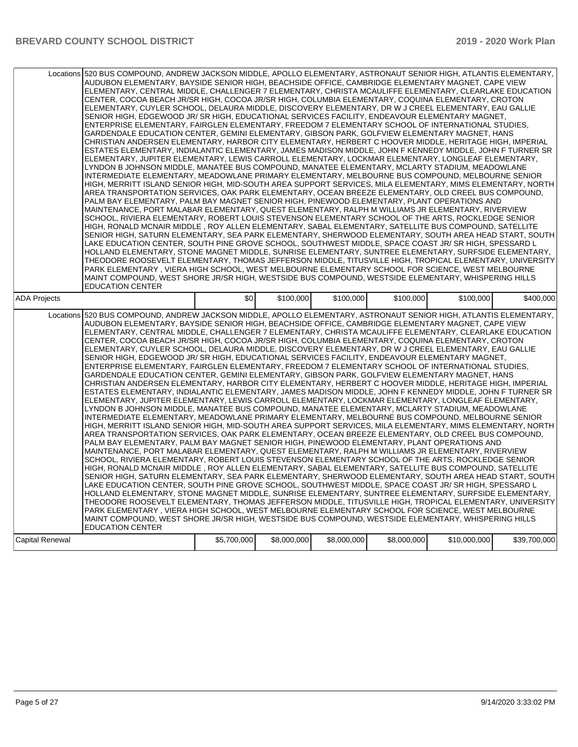|                        | Locations 520 BUS COMPOUND, ANDREW JACKSON MIDDLE, APOLLO ELEMENTARY, ASTRONAUT SENIOR HIGH, ATLANTIS ELEMENTARY,<br>AUDUBON ELEMENTARY, BAYSIDE SENIOR HIGH, BEACHSIDE OFFICE, CAMBRIDGE ELEMENTARY MAGNET, CAPE VIEW<br>ELEMENTARY, CENTRAL MIDDLE, CHALLENGER 7 ELEMENTARY, CHRISTA MCAULIFFE ELEMENTARY, CLEARLAKE EDUCATION<br>CENTER, COCOA BEACH JR/SR HIGH, COCOA JR/SR HIGH, COLUMBIA ELEMENTARY, COQUINA ELEMENTARY, CROTON<br>ELEMENTARY, CUYLER SCHOOL, DELAURA MIDDLE, DISCOVERY ELEMENTARY, DR W J CREEL ELEMENTARY, EAU GALLIE<br>SENIOR HIGH, EDGEWOOD JR/ SR HIGH, EDUCATIONAL SERVICES FACILITY, ENDEAVOUR ELEMENTARY MAGNET.<br>ENTERPRISE ELEMENTARY, FAIRGLEN ELEMENTARY, FREEDOM 7 ELEMENTARY SCHOOL OF INTERNATIONAL STUDIES,<br>GARDENDALE EDUCATION CENTER, GEMINI ELEMENTARY, GIBSON PARK, GOLFVIEW ELEMENTARY MAGNET, HANS<br>CHRISTIAN ANDERSEN ELEMENTARY, HARBOR CITY ELEMENTARY, HERBERT C HOOVER MIDDLE, HERITAGE HIGH, IMPERIAL<br>ESTATES ELEMENTARY, INDIALANTIC ELEMENTARY, JAMES MADISON MIDDLE, JOHN F KENNEDY MIDDLE, JOHN F TURNER SR<br>ELEMENTARY, JUPITER ELEMENTARY, LEWIS CARROLL ELEMENTARY, LOCKMAR ELEMENTARY, LONGLEAF ELEMENTARY,<br>LYNDON B JOHNSON MIDDLE, MANATEE BUS COMPOUND, MANATEE ELEMENTARY, MCLARTY STADIUM, MEADOWLANE<br>INTERMEDIATE ELEMENTARY, MEADOWLANE PRIMARY ELEMENTARY, MELBOURNE BUS COMPOUND, MELBOURNE SENIOR<br>HIGH, MERRITT ISLAND SENIOR HIGH, MID-SOUTH AREA SUPPORT SERVICES, MILA ELEMENTARY, MIMS ELEMENTARY, NORTH<br>AREA TRANSPORTATION SERVICES, OAK PARK ELEMENTARY, OCEAN BREEZE ELEMENTARY, OLD CREEL BUS COMPOUND,<br>PALM BAY ELEMENTARY, PALM BAY MAGNET SENIOR HIGH, PINEWOOD ELEMENTARY, PLANT OPERATIONS AND<br>MAINTENANCE, PORT MALABAR ELEMENTARY, QUEST ELEMENTARY, RALPH M WILLIAMS JR ELEMENTARY, RIVERVIEW<br>SCHOOL, RIVIERA ELEMENTARY, ROBERT LOUIS STEVENSON ELEMENTARY SCHOOL OF THE ARTS, ROCKLEDGE SENIOR<br>HIGH, RONALD MCNAIR MIDDLE, ROY ALLEN ELEMENTARY, SABAL ELEMENTARY, SATELLITE BUS COMPOUND, SATELLITE<br>SENIOR HIGH, SATURN ELEMENTARY, SEA PARK ELEMENTARY, SHERWOOD ELEMENTARY, SOUTH AREA HEAD START, SOUTH<br>LAKE EDUCATION CENTER, SOUTH PINE GROVE SCHOOL, SOUTHWEST MIDDLE, SPACE COAST JR/ SR HIGH, SPESSARD L<br>HOLLAND ELEMENTARY, STONE MAGNET MIDDLE, SUNRISE ELEMENTARY, SUNTREE ELEMENTARY, SURFSIDE ELEMENTARY,<br>THEODORE ROOSEVELT ELEMENTARY, THOMAS JEFFERSON MIDDLE, TITUSVILLE HIGH, TROPICAL ELEMENTARY, UNIVERSITY<br>PARK ELEMENTARY, VIERA HIGH SCHOOL, WEST MELBOURNE ELEMENTARY SCHOOL FOR SCIENCE, WEST MELBOURNE<br>MAINT COMPOUND, WEST SHORE JR/SR HIGH, WESTSIDE BUS COMPOUND, WESTSIDE ELEMENTARY, WHISPERING HILLS<br><b>EDUCATION CENTER</b> |             |             |             |             |              |              |
|------------------------|-----------------------------------------------------------------------------------------------------------------------------------------------------------------------------------------------------------------------------------------------------------------------------------------------------------------------------------------------------------------------------------------------------------------------------------------------------------------------------------------------------------------------------------------------------------------------------------------------------------------------------------------------------------------------------------------------------------------------------------------------------------------------------------------------------------------------------------------------------------------------------------------------------------------------------------------------------------------------------------------------------------------------------------------------------------------------------------------------------------------------------------------------------------------------------------------------------------------------------------------------------------------------------------------------------------------------------------------------------------------------------------------------------------------------------------------------------------------------------------------------------------------------------------------------------------------------------------------------------------------------------------------------------------------------------------------------------------------------------------------------------------------------------------------------------------------------------------------------------------------------------------------------------------------------------------------------------------------------------------------------------------------------------------------------------------------------------------------------------------------------------------------------------------------------------------------------------------------------------------------------------------------------------------------------------------------------------------------------------------------------------------------------------------------------------------------------------------------------------------------------------------------------------------------------------------------------------------------------------------------------------------------------------------------------------------------------------------------|-------------|-------------|-------------|-------------|--------------|--------------|
| <b>ADA Projects</b>    |                                                                                                                                                                                                                                                                                                                                                                                                                                                                                                                                                                                                                                                                                                                                                                                                                                                                                                                                                                                                                                                                                                                                                                                                                                                                                                                                                                                                                                                                                                                                                                                                                                                                                                                                                                                                                                                                                                                                                                                                                                                                                                                                                                                                                                                                                                                                                                                                                                                                                                                                                                                                                                                                                                                 | \$0         | \$100,000   | \$100,000   | \$100,000   | \$100,000    | \$400.000    |
| Locations              | 520 BUS COMPOUND, ANDREW JACKSON MIDDLE, APOLLO ELEMENTARY, ASTRONAUT SENIOR HIGH, ATLANTIS ELEMENTARY,<br>AUDUBON ELEMENTARY, BAYSIDE SENIOR HIGH, BEACHSIDE OFFICE, CAMBRIDGE ELEMENTARY MAGNET, CAPE VIEW<br>ELEMENTARY, CENTRAL MIDDLE, CHALLENGER 7 ELEMENTARY, CHRISTA MCAULIFFE ELEMENTARY, CLEARLAKE EDUCATION<br>CENTER, COCOA BEACH JR/SR HIGH, COCOA JR/SR HIGH, COLUMBIA ELEMENTARY, COQUINA ELEMENTARY, CROTON<br>ELEMENTARY, CUYLER SCHOOL, DELAURA MIDDLE, DISCOVERY ELEMENTARY, DR W J CREEL ELEMENTARY, EAU GALLIE<br>SENIOR HIGH, EDGEWOOD JR/SR HIGH, EDUCATIONAL SERVICES FACILITY, ENDEAVOUR ELEMENTARY MAGNET,<br>ENTERPRISE ELEMENTARY, FAIRGLEN ELEMENTARY, FREEDOM 7 ELEMENTARY SCHOOL OF INTERNATIONAL STUDIES,<br>GARDENDALE EDUCATION CENTER, GEMINI ELEMENTARY, GIBSON PARK, GOLFVIEW ELEMENTARY MAGNET, HANS<br>CHRISTIAN ANDERSEN ELEMENTARY, HARBOR CITY ELEMENTARY, HERBERT C HOOVER MIDDLE, HERITAGE HIGH, IMPERIAL<br>ESTATES ELEMENTARY, INDIALANTIC ELEMENTARY, JAMES MADISON MIDDLE, JOHN F KENNEDY MIDDLE, JOHN F TURNER SR<br>ELEMENTARY, JUPITER ELEMENTARY, LEWIS CARROLL ELEMENTARY, LOCKMAR ELEMENTARY, LONGLEAF ELEMENTARY,<br>LYNDON B JOHNSON MIDDLE, MANATEE BUS COMPOUND, MANATEE ELEMENTARY, MCLARTY STADIUM, MEADOWLANE<br>INTERMEDIATE ELEMENTARY, MEADOWLANE PRIMARY ELEMENTARY, MELBOURNE BUS COMPOUND, MELBOURNE SENIOR<br>HIGH, MERRITT ISLAND SENIOR HIGH, MID-SOUTH AREA SUPPORT SERVICES, MILA ELEMENTARY, MIMS ELEMENTARY, NORTH<br>AREA TRANSPORTATION SERVICES, OAK PARK ELEMENTARY, OCEAN BREEZE ELEMENTARY, OLD CREEL BUS COMPOUND,<br>PALM BAY ELEMENTARY, PALM BAY MAGNET SENIOR HIGH, PINEWOOD ELEMENTARY, PLANT OPERATIONS AND<br>MAINTENANCE, PORT MALABAR ELEMENTARY, QUEST ELEMENTARY, RALPH M WILLIAMS JR ELEMENTARY, RIVERVIEW<br>SCHOOL, RIVIERA ELEMENTARY, ROBERT LOUIS STEVENSON ELEMENTARY SCHOOL OF THE ARTS, ROCKLEDGE SENIOR<br>HIGH, RONALD MCNAIR MIDDLE, ROY ALLEN ELEMENTARY, SABAL ELEMENTARY, SATELLITE BUS COMPOUND, SATELLITE<br>SENIOR HIGH, SATURN ELEMENTARY, SEA PARK ELEMENTARY, SHERWOOD ELEMENTARY, SOUTH AREA HEAD START, SOUTH<br>LAKE EDUCATION CENTER, SOUTH PINE GROVE SCHOOL, SOUTHWEST MIDDLE, SPACE COAST JR/ SR HIGH, SPESSARD L<br>HOLLAND ELEMENTARY, STONE MAGNET MIDDLE, SUNRISE ELEMENTARY, SUNTREE ELEMENTARY, SURFSIDE ELEMENTARY,<br>THEODORE ROOSEVELT ELEMENTARY, THOMAS JEFFERSON MIDDLE, TITUSVILLE HIGH, TROPICAL ELEMENTARY, UNIVERSITY<br>PARK ELEMENTARY, VIERA HIGH SCHOOL, WEST MELBOURNE ELEMENTARY SCHOOL FOR SCIENCE, WEST MELBOURNE                                                                                                                                              |             |             |             |             |              |              |
| <b>Capital Renewal</b> | MAINT COMPOUND, WEST SHORE JR/SR HIGH, WESTSIDE BUS COMPOUND, WESTSIDE ELEMENTARY, WHISPERING HILLS<br><b>EDUCATION CENTER</b>                                                                                                                                                                                                                                                                                                                                                                                                                                                                                                                                                                                                                                                                                                                                                                                                                                                                                                                                                                                                                                                                                                                                                                                                                                                                                                                                                                                                                                                                                                                                                                                                                                                                                                                                                                                                                                                                                                                                                                                                                                                                                                                                                                                                                                                                                                                                                                                                                                                                                                                                                                                  | \$5,700,000 | \$8,000,000 | \$8,000,000 | \$8,000,000 | \$10,000,000 | \$39,700,000 |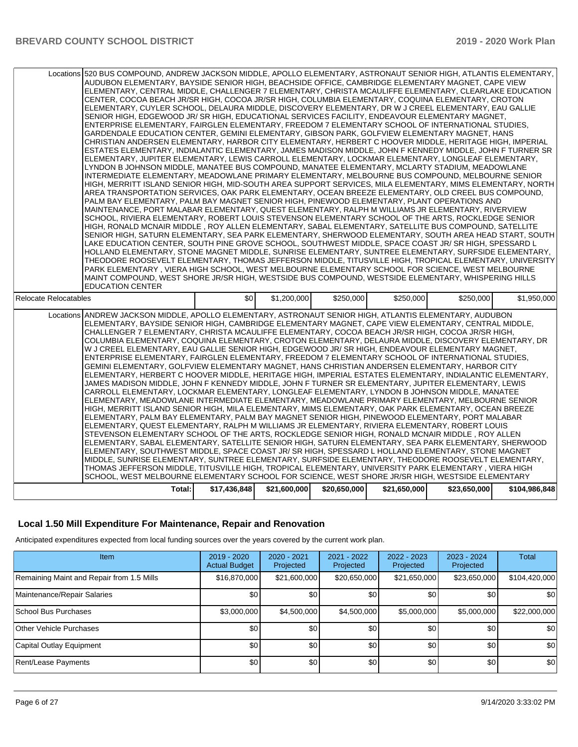|                       | Locations 520 BUS COMPOUND, ANDREW JACKSON MIDDLE, APOLLO ELEMENTARY, ASTRONAUT SENIOR HIGH, ATLANTIS ELEMENTARY,<br>AUDUBON ELEMENTARY, BAYSIDE SENIOR HIGH, BEACHSIDE OFFICE, CAMBRIDGE ELEMENTARY MAGNET, CAPE VIEW<br>ELEMENTARY, CENTRAL MIDDLE, CHALLENGER 7 ELEMENTARY, CHRISTA MCAULIFFE ELEMENTARY, CLEARLAKE EDUCATION<br>CENTER, COCOA BEACH JR/SR HIGH, COCOA JR/SR HIGH, COLUMBIA ELEMENTARY, COQUINA ELEMENTARY, CROTON<br>ELEMENTARY, CUYLER SCHOOL, DELAURA MIDDLE, DISCOVERY ELEMENTARY, DR W J CREEL ELEMENTARY, EAU GALLIE<br>SENIOR HIGH, EDGEWOOD JR/SR HIGH, EDUCATIONAL SERVICES FACILITY, ENDEAVOUR ELEMENTARY MAGNET,<br>ENTERPRISE ELEMENTARY, FAIRGLEN ELEMENTARY, FREEDOM 7 ELEMENTARY SCHOOL OF INTERNATIONAL STUDIES,<br>GARDENDALE EDUCATION CENTER, GEMINI ELEMENTARY, GIBSON PARK, GOLFVIEW ELEMENTARY MAGNET, HANS<br>CHRISTIAN ANDERSEN ELEMENTARY, HARBOR CITY ELEMENTARY, HERBERT C HOOVER MIDDLE, HERITAGE HIGH, IMPERIAL<br>ESTATES ELEMENTARY, INDIALANTIC ELEMENTARY, JAMES MADISON MIDDLE, JOHN F KENNEDY MIDDLE, JOHN F TURNER SR<br>ELEMENTARY, JUPITER ELEMENTARY, LEWIS CARROLL ELEMENTARY, LOCKMAR ELEMENTARY, LONGLEAF ELEMENTARY,<br>LYNDON B JOHNSON MIDDLE, MANATEE BUS COMPOUND, MANATEE ELEMENTARY, MCLARTY STADIUM, MEADOWLANE<br>INTERMEDIATE ELEMENTARY. MEADOWLANE PRIMARY ELEMENTARY. MELBOURNE BUS COMPOUND. MELBOURNE SENIOR<br>HIGH, MERRITT ISLAND SENIOR HIGH, MID-SOUTH AREA SUPPORT SERVICES, MILA ELEMENTARY, MIMS ELEMENTARY, NORTH  <br>AREA TRANSPORTATION SERVICES, OAK PARK ELEMENTARY, OCEAN BREEZE ELEMENTARY, OLD CREEL BUS COMPOUND,<br>PALM BAY ELEMENTARY, PALM BAY MAGNET SENIOR HIGH, PINEWOOD ELEMENTARY, PLANT OPERATIONS AND<br>MAINTENANCE, PORT MALABAR ELEMENTARY, QUEST ELEMENTARY, RALPH M WILLIAMS JR ELEMENTARY, RIVERVIEW<br>SCHOOL, RIVIERA ELEMENTARY, ROBERT LOUIS STEVENSON ELEMENTARY SCHOOL OF THE ARTS, ROCKLEDGE SENIOR<br>HIGH, RONALD MCNAIR MIDDLE, ROY ALLEN ELEMENTARY, SABAL ELEMENTARY, SATELLITE BUS COMPOUND, SATELLITE<br>SENIOR HIGH, SATURN ELEMENTARY, SEA PARK ELEMENTARY, SHERWOOD ELEMENTARY, SOUTH AREA HEAD START, SOUTH<br>LAKE EDUCATION CENTER, SOUTH PINE GROVE SCHOOL, SOUTHWEST MIDDLE, SPACE COAST JR/ SR HIGH, SPESSARD L<br>HOLLAND ELEMENTARY, STONE MAGNET MIDDLE, SUNRISE ELEMENTARY, SUNTREE ELEMENTARY, SURFSIDE ELEMENTARY,<br>THEODORE ROOSEVELT ELEMENTARY, THOMAS JEFFERSON MIDDLE, TITUSVILLE HIGH, TROPICAL ELEMENTARY, UNIVERSITY<br>PARK ELEMENTARY, VIERA HIGH SCHOOL, WEST MELBOURNE ELEMENTARY SCHOOL FOR SCIENCE, WEST MELBOURNE<br>MAINT COMPOUND, WEST SHORE JR/SR HIGH, WESTSIDE BUS COMPOUND, WESTSIDE ELEMENTARY, WHISPERING HILLS<br><b>EDUCATION CENTER</b> |              |              |              |              |              |               |
|-----------------------|------------------------------------------------------------------------------------------------------------------------------------------------------------------------------------------------------------------------------------------------------------------------------------------------------------------------------------------------------------------------------------------------------------------------------------------------------------------------------------------------------------------------------------------------------------------------------------------------------------------------------------------------------------------------------------------------------------------------------------------------------------------------------------------------------------------------------------------------------------------------------------------------------------------------------------------------------------------------------------------------------------------------------------------------------------------------------------------------------------------------------------------------------------------------------------------------------------------------------------------------------------------------------------------------------------------------------------------------------------------------------------------------------------------------------------------------------------------------------------------------------------------------------------------------------------------------------------------------------------------------------------------------------------------------------------------------------------------------------------------------------------------------------------------------------------------------------------------------------------------------------------------------------------------------------------------------------------------------------------------------------------------------------------------------------------------------------------------------------------------------------------------------------------------------------------------------------------------------------------------------------------------------------------------------------------------------------------------------------------------------------------------------------------------------------------------------------------------------------------------------------------------------------------------------------------------------------------------------------------------------------------------------------------------------------------------------------------------|--------------|--------------|--------------|--------------|--------------|---------------|
| Relocate Relocatables |                                                                                                                                                                                                                                                                                                                                                                                                                                                                                                                                                                                                                                                                                                                                                                                                                                                                                                                                                                                                                                                                                                                                                                                                                                                                                                                                                                                                                                                                                                                                                                                                                                                                                                                                                                                                                                                                                                                                                                                                                                                                                                                                                                                                                                                                                                                                                                                                                                                                                                                                                                                                                                                                                                                  | \$0          | \$1,200,000  | \$250,000    | \$250,000    | \$250,000    | \$1,950,000   |
|                       | Locations ANDREW JACKSON MIDDLE, APOLLO ELEMENTARY, ASTRONAUT SENIOR HIGH, ATLANTIS ELEMENTARY, AUDUBON<br>ELEMENTARY, BAYSIDE SENIOR HIGH, CAMBRIDGE ELEMENTARY MAGNET, CAPE VIEW ELEMENTARY, CENTRAL MIDDLE,<br>CHALLENGER 7 ELEMENTARY, CHRISTA MCAULIFFE ELEMENTARY, COCOA BEACH JR/SR HIGH, COCOA JR/SR HIGH,<br>COLUMBIA ELEMENTARY, COQUINA ELEMENTARY, CROTON ELEMENTARY, DELAURA MIDDLE, DISCOVERY ELEMENTARY, DR<br>W J CREEL ELEMENTARY, EAU GALLIE SENIOR HIGH, EDGEWOOD JR/ SR HIGH, ENDEAVOUR ELEMENTARY MAGNET,<br>ENTERPRISE ELEMENTARY, FAIRGLEN ELEMENTARY, FREEDOM 7 ELEMENTARY SCHOOL OF INTERNATIONAL STUDIES,<br>GEMINI ELEMENTARY, GOLFVIEW ELEMENTARY MAGNET, HANS CHRISTIAN ANDERSEN ELEMENTARY, HARBOR CITY<br>ELEMENTARY, HERBERT C HOOVER MIDDLE, HERITAGE HIGH, IMPERIAL ESTATES ELEMENTARY, INDIALANTIC ELEMENTARY,<br>JAMES MADISON MIDDLE, JOHN F KENNEDY MIDDLE, JOHN F TURNER SR ELEMENTARY, JUPITER ELEMENTARY, LEWIS<br>CARROLL ELEMENTARY. LOCKMAR ELEMENTARY. LONGLEAF ELEMENTARY. LYNDON B JOHNSON MIDDLE. MANATEE<br>ELEMENTARY, MEADOWLANE INTERMEDIATE ELEMENTARY, MEADOWLANE PRIMARY ELEMENTARY, MELBOURNE SENIOR<br>HIGH. MERRITT ISLAND SENIOR HIGH. MILA ELEMENTARY. MIMS ELEMENTARY. OAK PARK ELEMENTARY. OCEAN BREEZE<br>ELEMENTARY, PALM BAY ELEMENTARY, PALM BAY MAGNET SENIOR HIGH, PINEWOOD ELEMENTARY, PORT MALABAR<br>ELEMENTARY, QUEST ELEMENTARY, RALPH M WILLIAMS JR ELEMENTARY, RIVIERA ELEMENTARY, ROBERT LOUIS<br>STEVENSON ELEMENTARY SCHOOL OF THE ARTS, ROCKLEDGE SENIOR HIGH, RONALD MCNAIR MIDDLE, ROY ALLEN<br>ELEMENTARY, SABAL ELEMENTARY, SATELLITE SENIOR HIGH, SATURN ELEMENTARY, SEA PARK ELEMENTARY, SHERWOOD<br>ELEMENTARY, SOUTHWEST MIDDLE, SPACE COAST JR/ SR HIGH, SPESSARD L HOLLAND ELEMENTARY, STONE MAGNET<br>MIDDLE, SUNRISE ELEMENTARY, SUNTREE ELEMENTARY, SURFSIDE ELEMENTARY, THEODORE ROOSEVELT ELEMENTARY,<br>THOMAS JEFFERSON MIDDLE, TITUSVILLE HIGH, TROPICAL ELEMENTARY, UNIVERSITY PARK ELEMENTARY , VIERA HIGH<br>SCHOOL, WEST MELBOURNE ELEMENTARY SCHOOL FOR SCIENCE, WEST SHORE JR/SR HIGH, WESTSIDE ELEMENTARY                                                                                                                                                                                                                                                                                                                                                                                                                                                                                                                                                                                                | \$17,436,848 |              | \$20,650,000 |              |              |               |
|                       | Total:                                                                                                                                                                                                                                                                                                                                                                                                                                                                                                                                                                                                                                                                                                                                                                                                                                                                                                                                                                                                                                                                                                                                                                                                                                                                                                                                                                                                                                                                                                                                                                                                                                                                                                                                                                                                                                                                                                                                                                                                                                                                                                                                                                                                                                                                                                                                                                                                                                                                                                                                                                                                                                                                                                           |              | \$21,600,000 |              | \$21,650,000 | \$23,650,000 | \$104,986,848 |

#### **Local 1.50 Mill Expenditure For Maintenance, Repair and Renovation**

Anticipated expenditures expected from local funding sources over the years covered by the current work plan.

| <b>Item</b>                               | 2019 - 2020<br><b>Actual Budget</b> | $2020 - 2021$<br>Projected | $2021 - 2022$<br>Projected | $2022 - 2023$<br>Projected | 2023 - 2024<br>Projected | Total         |
|-------------------------------------------|-------------------------------------|----------------------------|----------------------------|----------------------------|--------------------------|---------------|
| Remaining Maint and Repair from 1.5 Mills | \$16,870,000                        | \$21,600,000               | \$20,650,000               | \$21,650,000               | \$23,650,000             | \$104,420,000 |
| Maintenance/Repair Salaries               | \$0                                 | \$0                        | \$0                        | \$0                        | \$0                      | \$0           |
| School Bus Purchases                      | \$3,000,000                         | \$4.500.000                | \$4,500,000                | \$5,000,000                | \$5,000,000              | \$22,000,000  |
| Other Vehicle Purchases                   | \$0                                 | \$0 <sub>1</sub>           | \$0                        | \$0 <sub>1</sub>           | \$0                      | \$0           |
| Capital Outlay Equipment                  | \$0                                 | \$0                        | \$0                        | \$0                        | \$0                      | \$0           |
| Rent/Lease Payments                       | \$0                                 | \$0                        | \$0                        | \$0                        | \$0                      | \$0           |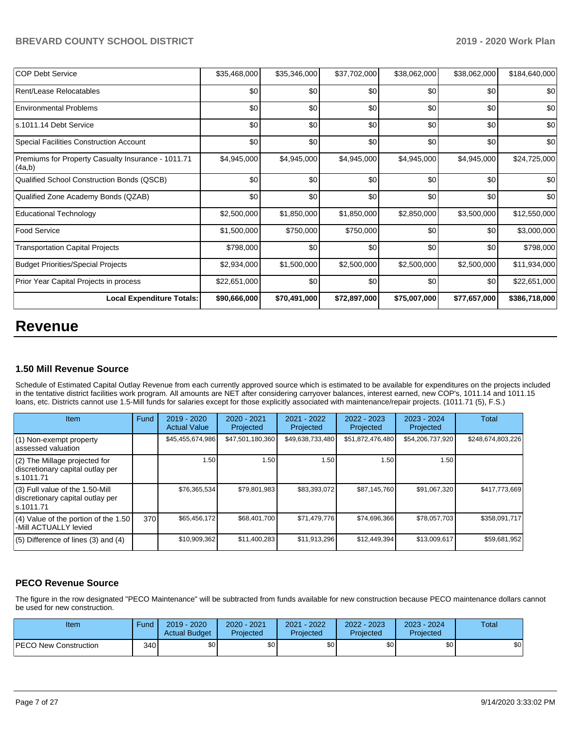| <b>COP Debt Service</b>                                      | \$35,468,000 | \$35,346,000 | \$37,702,000 | \$38,062,000 | \$38,062,000 | \$184,640,000 |
|--------------------------------------------------------------|--------------|--------------|--------------|--------------|--------------|---------------|
| Rent/Lease Relocatables                                      | \$0          | \$0          | \$0          | \$0          | \$0          | \$0           |
| Environmental Problems                                       | \$0          | \$0          | \$0          | \$0          | \$0          | \$0           |
| ls.1011.14 Debt Service                                      | \$0          | \$0          | \$0          | \$0          | \$0          | \$0           |
| Special Facilities Construction Account                      | \$0          | \$0          | \$0          | \$0          | \$0          | \$0           |
| Premiums for Property Casualty Insurance - 1011.71<br>(4a,b) | \$4,945,000  | \$4,945,000  | \$4,945,000  | \$4,945,000  | \$4,945,000  | \$24,725,000  |
| Qualified School Construction Bonds (QSCB)                   | \$0          | \$0          | \$0          | \$0          | \$0          | \$0           |
| Qualified Zone Academy Bonds (QZAB)                          | \$0          | \$0          | \$0          | \$0          | \$0          | \$0           |
| <b>Educational Technology</b>                                | \$2,500,000  | \$1,850,000  | \$1,850,000  | \$2,850,000  | \$3,500,000  | \$12,550,000  |
| <b>Food Service</b>                                          | \$1,500,000  | \$750,000    | \$750,000    | \$0          | \$0          | \$3,000,000   |
| <b>Transportation Capital Projects</b>                       | \$798,000    | \$0          | \$0          | \$0          | \$0          | \$798,000     |
| Budget Priorities/Special Projects                           | \$2,934,000  | \$1,500,000  | \$2,500,000  | \$2,500,000  | \$2,500,000  | \$11,934,000  |
| Prior Year Capital Projects in process                       | \$22,651,000 | \$0          | \$0          | \$0          | \$0          | \$22,651,000  |
| <b>Local Expenditure Totals:</b>                             | \$90,666,000 | \$70,491,000 | \$72,897,000 | \$75,007,000 | \$77,657,000 | \$386,718,000 |

## **Revenue**

#### **1.50 Mill Revenue Source**

Schedule of Estimated Capital Outlay Revenue from each currently approved source which is estimated to be available for expenditures on the projects included in the tentative district facilities work program. All amounts are NET after considering carryover balances, interest earned, new COP's, 1011.14 and 1011.15 loans, etc. Districts cannot use 1.5-Mill funds for salaries except for those explicitly associated with maintenance/repair projects. (1011.71 (5), F.S.)

| Item                                                                                | Fund | $2019 - 2020$<br><b>Actual Value</b> | $2020 - 2021$<br>Projected | $2021 - 2022$<br>Projected | $2022 - 2023$<br>Projected | 2023 - 2024<br>Projected | <b>Total</b>      |
|-------------------------------------------------------------------------------------|------|--------------------------------------|----------------------------|----------------------------|----------------------------|--------------------------|-------------------|
| (1) Non-exempt property<br>lassessed valuation                                      |      | \$45,455,674,986                     | \$47,501,180,360           | \$49,638,733,480           | \$51,872,476,480           | \$54,206,737,920         | \$248,674,803,226 |
| $(2)$ The Millage projected for<br>discretionary capital outlay per<br>ls.1011.71   |      | 1.50                                 | 1.50                       | 1.50                       | 1.50                       | 1.50                     |                   |
| $(3)$ Full value of the 1.50-Mill<br>discretionary capital outlay per<br>ls.1011.71 |      | \$76,365,534                         | \$79,801,983               | \$83,393,072               | \$87,145,760               | \$91,067,320             | \$417,773,669     |
| $(4)$ Value of the portion of the 1.50<br>-Mill ACTUALLY levied                     | 370  | \$65,456,172                         | \$68,401,700               | \$71,479,776               | \$74,696,366               | \$78,057,703             | \$358,091,717     |
| $(5)$ Difference of lines $(3)$ and $(4)$                                           |      | \$10,909,362                         | \$11,400,283               | \$11,913,296               | \$12,449,394               | \$13,009,617             | \$59,681,952      |

## **PECO Revenue Source**

The figure in the row designated "PECO Maintenance" will be subtracted from funds available for new construction because PECO maintenance dollars cannot be used for new construction.

| Item                         | Fund  | $2019 - 2020$<br><b>Actual Budget</b> | 2020 - 2021<br>Projected | 2021 - 2022<br>Projected | $2022 - 2023$<br>Projected | 2023 - 2024<br>Projected | Total |
|------------------------------|-------|---------------------------------------|--------------------------|--------------------------|----------------------------|--------------------------|-------|
| <b>PECO New Construction</b> | 340 I | \$0 <sub>1</sub>                      | \$0                      | \$0 <sub>1</sub>         | ¢∩                         | \$0                      | \$0   |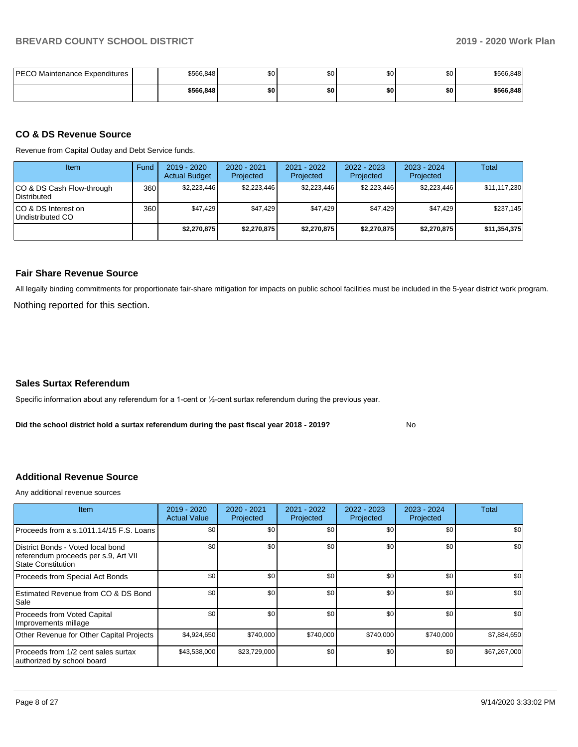| PECO Maintenance Expenditures | \$566,848 | ሶሳ<br>ພບ | \$0 | Ψ∪  | ΦΛ<br>งบ | \$566,848 |
|-------------------------------|-----------|----------|-----|-----|----------|-----------|
|                               | \$566,848 | \$0      | \$0 | \$0 | \$0      | \$566,848 |

#### **CO & DS Revenue Source**

Revenue from Capital Outlay and Debt Service funds.

| Item                                      | Fund | 2019 - 2020<br><b>Actual Budget</b> | $2020 - 2021$<br>Projected | $2021 - 2022$<br>Projected | $2022 - 2023$<br>Projected | $2023 - 2024$<br>Projected | Total        |
|-------------------------------------------|------|-------------------------------------|----------------------------|----------------------------|----------------------------|----------------------------|--------------|
| ICO & DS Cash Flow-through<br>Distributed | 360  | \$2,223,446                         | \$2,223,446                | \$2,223,446                | \$2,223,446                | \$2,223,446                | \$11,117,230 |
| ICO & DS Interest on<br>Undistributed CO  | 3601 | \$47.429                            | \$47.429                   | \$47.429                   | \$47.429                   | \$47.429                   | \$237.145    |
|                                           |      | \$2,270,875                         | \$2,270,875                | \$2.270.875                | \$2,270,875                | \$2,270,875                | \$11,354,375 |

#### **Fair Share Revenue Source**

Nothing reported for this section. All legally binding commitments for proportionate fair-share mitigation for impacts on public school facilities must be included in the 5-year district work program.

#### **Sales Surtax Referendum**

Specific information about any referendum for a 1-cent or ½-cent surtax referendum during the previous year.

**Did the school district hold a surtax referendum during the past fiscal year 2018 - 2019?**

No

#### **Additional Revenue Source**

Any additional revenue sources

| <b>Item</b>                                                                                            | 2019 - 2020<br><b>Actual Value</b> | 2020 - 2021<br>Projected | 2021 - 2022<br>Projected | 2022 - 2023<br>Projected | $2023 - 2024$<br>Projected | Total        |
|--------------------------------------------------------------------------------------------------------|------------------------------------|--------------------------|--------------------------|--------------------------|----------------------------|--------------|
| Proceeds from a s.1011.14/15 F.S. Loans                                                                | \$0                                | \$0                      | \$0                      | \$0                      | \$0                        | \$0          |
| District Bonds - Voted local bond<br>referendum proceeds per s.9, Art VII<br><b>State Constitution</b> | \$0                                | \$0                      | \$0                      | \$0                      | \$0                        | \$0          |
| Proceeds from Special Act Bonds                                                                        | \$0                                | \$0                      | \$0                      | \$0                      | \$0                        | \$0          |
| Estimated Revenue from CO & DS Bond<br>Sale                                                            | \$0                                | \$0                      | \$0                      | \$0                      | \$0                        | \$0          |
| Proceeds from Voted Capital<br>Improvements millage                                                    | \$0                                | \$0                      | \$0                      | \$0                      | \$0                        | \$0          |
| Other Revenue for Other Capital Projects                                                               | \$4,924,650                        | \$740,000                | \$740,000                | \$740,000                | \$740,000                  | \$7,884,650  |
| Proceeds from 1/2 cent sales surtax<br>authorized by school board                                      | \$43,538,000                       | \$23,729,000             | \$0                      | \$0                      | \$0                        | \$67,267,000 |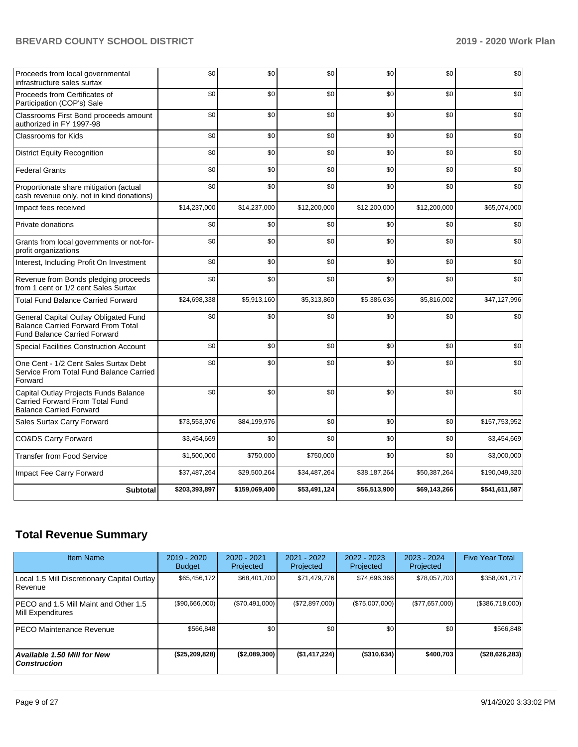| Proceeds from local governmental<br>infrastructure sales surtax                                                           | \$0           | \$0           | \$0          | \$0          | \$0          | \$0           |
|---------------------------------------------------------------------------------------------------------------------------|---------------|---------------|--------------|--------------|--------------|---------------|
| Proceeds from Certificates of<br>Participation (COP's) Sale                                                               | \$0           | \$0           | \$0          | \$0          | \$0          | \$0           |
| Classrooms First Bond proceeds amount<br>authorized in FY 1997-98                                                         | \$0           | \$0           | \$0          | \$0          | \$0          | \$0           |
| <b>Classrooms for Kids</b>                                                                                                | \$0           | \$0           | \$0          | \$0          | \$0          | \$0           |
| <b>District Equity Recognition</b>                                                                                        | \$0           | \$0           | \$0          | \$0          | \$0          | \$0           |
| <b>Federal Grants</b>                                                                                                     | \$0           | \$0           | \$0          | \$0          | \$0          | \$0           |
| Proportionate share mitigation (actual<br>cash revenue only, not in kind donations)                                       | \$0           | \$0           | \$0          | \$0          | \$0          | \$0           |
| Impact fees received                                                                                                      | \$14,237,000  | \$14,237,000  | \$12,200,000 | \$12,200,000 | \$12,200,000 | \$65,074,000  |
| Private donations                                                                                                         | \$0           | \$0           | \$0          | \$0          | \$0          | \$0           |
| Grants from local governments or not-for-<br>profit organizations                                                         | \$0           | \$0           | \$0          | \$0          | \$0          | \$0           |
| Interest, Including Profit On Investment                                                                                  | \$0           | \$0           | \$0          | \$0          | \$0          | \$0           |
| Revenue from Bonds pledging proceeds<br>from 1 cent or 1/2 cent Sales Surtax                                              | \$0           | \$0           | \$0          | \$0          | \$0          | \$0           |
| <b>Total Fund Balance Carried Forward</b>                                                                                 | \$24,698,338  | \$5,913,160   | \$5,313,860  | \$5,386,636  | \$5,816,002  | \$47,127,996  |
| General Capital Outlay Obligated Fund<br><b>Balance Carried Forward From Total</b><br><b>Fund Balance Carried Forward</b> | \$0           | \$0           | \$0          | \$0          | \$0          | \$0           |
| Special Facilities Construction Account                                                                                   | \$0           | \$0           | \$0          | \$0          | \$0          | \$0           |
| One Cent - 1/2 Cent Sales Surtax Debt<br>Service From Total Fund Balance Carried<br>Forward                               | \$0           | \$0           | \$0          | \$0          | \$0          | \$0           |
| Capital Outlay Projects Funds Balance<br>Carried Forward From Total Fund<br><b>Balance Carried Forward</b>                | \$0           | \$0           | \$0          | \$0          | \$0          | \$0           |
| Sales Surtax Carry Forward                                                                                                | \$73,553,976  | \$84,199,976  | \$0          | \$0          | \$0          | \$157,753,952 |
| CO&DS Carry Forward                                                                                                       | \$3,454,669   | \$0           | \$0          | \$0          | \$0          | \$3,454,669   |
| <b>Transfer from Food Service</b>                                                                                         | \$1,500,000   | \$750,000     | \$750,000    | \$0          | \$0          | \$3,000,000   |
| Impact Fee Carry Forward                                                                                                  | \$37,487,264  | \$29,500,264  | \$34,487,264 | \$38,187,264 | \$50,387,264 | \$190,049,320 |
| <b>Subtotal</b>                                                                                                           | \$203,393,897 | \$159,069,400 | \$53,491,124 | \$56,513,900 | \$69,143,266 | \$541,611,587 |

## **Total Revenue Summary**

| <b>Item Name</b>                                           | $2019 - 2020$<br><b>Budget</b> | 2020 - 2021<br>Projected | 2021 - 2022<br>Projected | $2022 - 2023$<br>Projected |                | <b>Five Year Total</b> |
|------------------------------------------------------------|--------------------------------|--------------------------|--------------------------|----------------------------|----------------|------------------------|
| Local 1.5 Mill Discretionary Capital Outlay<br>Revenue     | \$65,456,172                   | \$68,401,700             | \$71,479,776             | \$74,696,366               | \$78,057,703   | \$358,091,717          |
| PECO and 1.5 Mill Maint and Other 1.5<br>Mill Expenditures | (S90,666,000)                  | (\$70,491,000)           | (\$72,897,000)           | (\$75,007,000)             | (\$77,657,000) | (\$386,718,000)        |
| PECO Maintenance Revenue                                   | \$566,848                      | \$0                      | \$0                      | \$0                        | \$0            | \$566,848              |
| <b>Available 1.50 Mill for New</b><br><b>Construction</b>  | (\$25,209,828)                 | (\$2,089,300)            | (\$1,417,224)            | $($ \$310,634)             | \$400.703      | (\$28,626,283)         |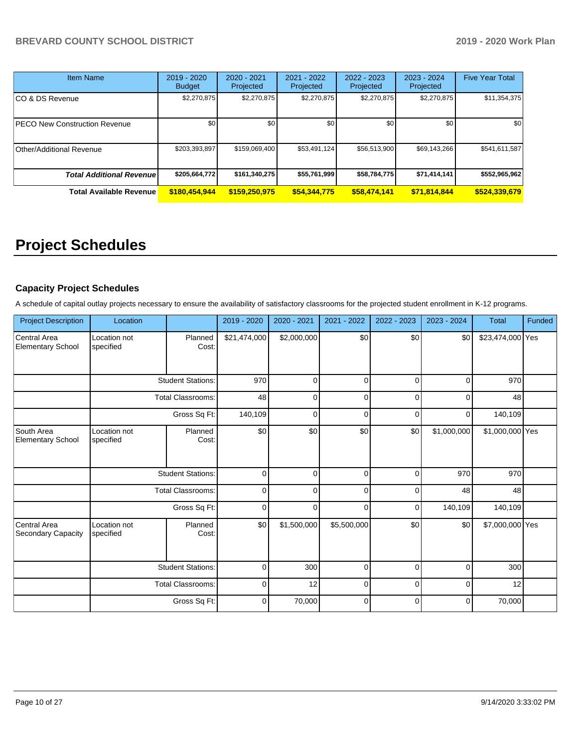| Item Name                            | 2019 - 2020<br><b>Budget</b> | 2020 - 2021<br>Projected | 2021 - 2022<br>Projected | $2022 - 2023$<br>Projected | $2023 - 2024$<br>Projected | <b>Five Year Total</b> |
|--------------------------------------|------------------------------|--------------------------|--------------------------|----------------------------|----------------------------|------------------------|
| CO & DS Revenue                      | \$2,270,875                  | \$2,270,875              | \$2,270,875              | \$2,270,875                | \$2,270,875                | \$11,354,375           |
| <b>PECO New Construction Revenue</b> | \$0                          | \$0                      | \$0                      | \$0                        | \$0                        | \$0                    |
| <b>Other/Additional Revenue</b>      | \$203,393,897                | \$159,069,400            | \$53,491,124             | \$56,513,900               | \$69,143,266               | \$541,611,587          |
| <b>Total Additional Revenuel</b>     | \$205,664,772                | \$161,340,275            | \$55,761,999             | \$58,784,775               | \$71,414,141               | \$552,965,962          |
| <b>Total Available Revenue</b>       | \$180,454,944                | \$159,250,975            | \$54,344,775             | \$58,474,141               | \$71,814,844               | \$524,339,679          |

# **Project Schedules**

## **Capacity Project Schedules**

A schedule of capital outlay projects necessary to ensure the availability of satisfactory classrooms for the projected student enrollment in K-12 programs.

| <b>Project Description</b>               | Location                  |                          | 2019 - 2020  | 2020 - 2021 | 2021 - 2022 | 2022 - 2023 | 2023 - 2024 | <b>Total</b>     | Funded |
|------------------------------------------|---------------------------|--------------------------|--------------|-------------|-------------|-------------|-------------|------------------|--------|
| Central Area<br><b>Elementary School</b> | Location not<br>specified | Planned<br>Cost:         | \$21,474,000 | \$2,000,000 | \$0         | \$0         | \$0         | \$23,474,000 Yes |        |
|                                          |                           | <b>Student Stations:</b> | 970          | $\Omega$    | $\Omega$    | $\Omega$    | 0           | 970              |        |
|                                          |                           | <b>Total Classrooms:</b> | 48           | 0           | $\mathbf 0$ | 0           | 0           | 48               |        |
|                                          |                           | Gross Sq Ft:             | 140,109      | $\Omega$    | $\mathbf 0$ | $\Omega$    | $\mathbf 0$ | 140,109          |        |
| South Area<br><b>Elementary School</b>   | Location not<br>specified | Planned<br>Cost:         | \$0          | \$0         | \$0         | \$0         | \$1,000,000 | \$1,000,000 Yes  |        |
|                                          |                           | <b>Student Stations:</b> | $\mathbf 0$  | 0           | $\mathbf 0$ | 0           | 970         | 970              |        |
|                                          |                           | <b>Total Classrooms:</b> | $\mathbf 0$  | $\Omega$    | $\Omega$    | $\Omega$    | 48          | 48               |        |
|                                          |                           | Gross Sq Ft:             | $\mathbf 0$  | $\Omega$    | $\Omega$    | $\Omega$    | 140,109     | 140,109          |        |
| Central Area<br>Secondary Capacity       | Location not<br>specified | Planned<br>Cost:         | \$0          | \$1,500,000 | \$5,500,000 | \$0         | \$0         | \$7,000,000 Yes  |        |
|                                          |                           | <b>Student Stations:</b> | 0            | 300         | $\mathbf 0$ | 0           | 0           | 300              |        |
|                                          |                           | <b>Total Classrooms:</b> | 0            | 12          | $\mathbf 0$ | 0           | $\mathbf 0$ | 12               |        |
|                                          |                           | Gross Sq Ft:             | 0            | 70,000      | $\mathbf 0$ | 0           | 0           | 70,000           |        |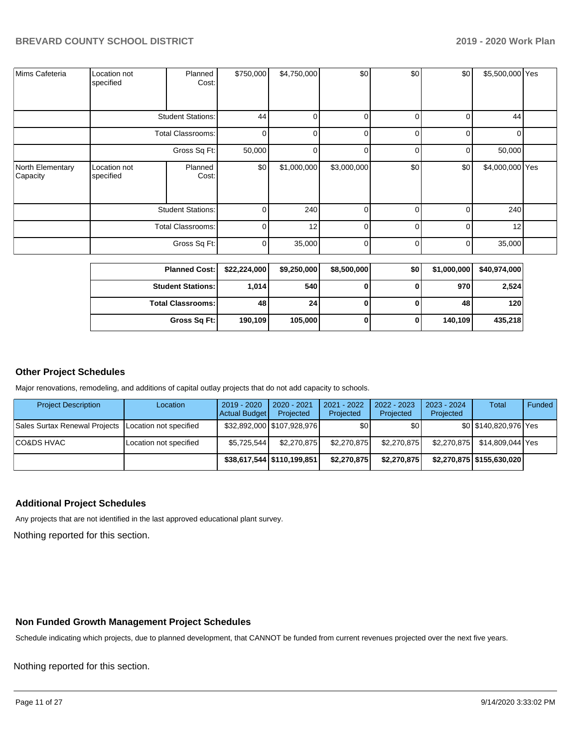| Mims Cafeteria               | Location not<br>specified | Planned<br>Cost:         | \$750,000    | \$4,750,000 | \$0            | \$0            | \$0      | \$5,500,000 Yes |  |
|------------------------------|---------------------------|--------------------------|--------------|-------------|----------------|----------------|----------|-----------------|--|
|                              |                           | <b>Student Stations:</b> | 44           | 0           | $\overline{0}$ | 01             | 0        | 44              |  |
|                              |                           | <b>Total Classrooms:</b> | 0            | 0           | $\overline{0}$ | $\overline{0}$ | $\Omega$ | 0               |  |
|                              |                           | Gross Sq Ft:             | 50,000       | 0           | $\overline{0}$ | ΟI             | 0        | 50,000          |  |
| North Elementary<br>Capacity | Location not<br>specified | Planned<br>Cost:         | \$0          | \$1,000,000 | \$3,000,000    | \$0            | \$0      | \$4,000,000 Yes |  |
|                              | <b>Student Stations:</b>  |                          | $\mathbf{0}$ | 240         | $\overline{0}$ | $\overline{0}$ | 0        | 240             |  |
|                              | <b>Total Classrooms:</b>  |                          | $\Omega$     | 12          | $\overline{0}$ | $\Omega$       | 0        | 12              |  |
|                              |                           | Gross Sq Ft:             | 0            | 35,000      | $\overline{0}$ | ٥I             | 0        | 35,000          |  |

| <b>Planned Cost:</b>     | \$22,224,000 | \$9,250,000 | \$8,500,000 | \$0 | \$1,000,000 | \$40,974,000 |
|--------------------------|--------------|-------------|-------------|-----|-------------|--------------|
| <b>Student Stations:</b> | 1.014        | 540 l       |             | u   | 970         | 2,524        |
| <b>Total Classrooms:</b> | 48           | 24 I        |             |     | 48          | 120          |
| Gross Sq Ft:             | 190.109      | 105,000     |             | 0   | 140.109     | 435,218      |

#### **Other Project Schedules**

Major renovations, remodeling, and additions of capital outlay projects that do not add capacity to schools.

| <b>Project Description</b>                             | Location               | 2019 - 2020<br>Actual Budget | 2020 - 2021<br>Projected     | $2021 - 2022$<br>Projected | 2022 - 2023<br>Projected | 2023 - 2024<br>Projected | Total                       | Funded |
|--------------------------------------------------------|------------------------|------------------------------|------------------------------|----------------------------|--------------------------|--------------------------|-----------------------------|--------|
| Sales Surtax Renewal Projects   Location not specified |                        |                              | \$32,892,000 \$107,928,976   | \$٥Ι                       | ا 30                     |                          | \$0 \$140,820,976 Yes       |        |
| CO&DS HVAC_                                            | Location not specified | \$5,725,544                  | \$2,270,875                  | \$2,270,875                | \$2,270,875              | \$2,270,875              | \$14.809.044 Yes            |        |
|                                                        |                        |                              | \$38,617,544   \$110,199,851 | \$2,270,875                | \$2,270,875              |                          | \$2,270,875   \$155,630,020 |        |

#### **Additional Project Schedules**

Any projects that are not identified in the last approved educational plant survey.

Nothing reported for this section.

#### **Non Funded Growth Management Project Schedules**

Schedule indicating which projects, due to planned development, that CANNOT be funded from current revenues projected over the next five years.

Nothing reported for this section.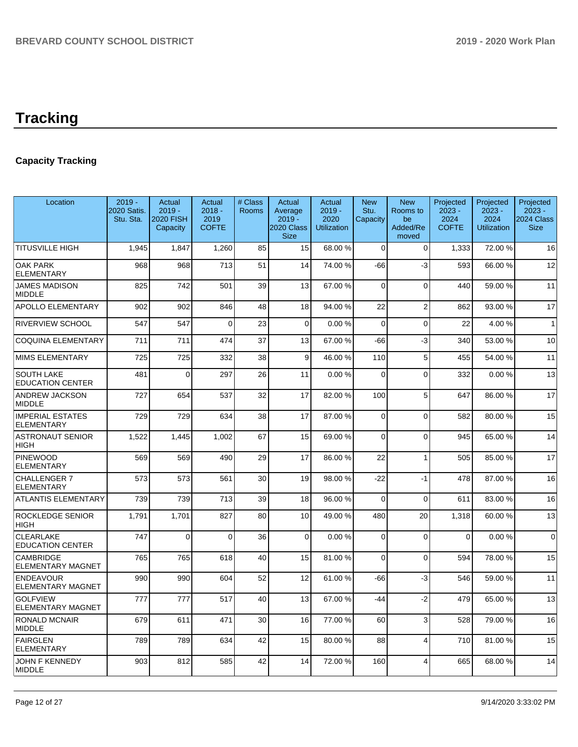# **Tracking**

## **Capacity Tracking**

| Location                                     | $2019 -$<br>2020 Satis.<br>Stu. Sta. | Actual<br>$2019 -$<br>2020 FISH<br>Capacity | Actual<br>$2018 -$<br>2019<br><b>COFTE</b> | # Class<br><b>Rooms</b> | Actual<br>Average<br>$2019 -$<br>2020 Class<br><b>Size</b> | Actual<br>$2019 -$<br>2020<br><b>Utilization</b> | <b>New</b><br>Stu.<br>Capacity | <b>New</b><br>Rooms to<br>be<br>Added/Re<br>moved | Projected<br>$2023 -$<br>2024<br><b>COFTE</b> | Projected<br>$2023 -$<br>2024<br><b>Utilization</b> | Projected<br>$2023 -$<br>2024 Class<br><b>Size</b> |
|----------------------------------------------|--------------------------------------|---------------------------------------------|--------------------------------------------|-------------------------|------------------------------------------------------------|--------------------------------------------------|--------------------------------|---------------------------------------------------|-----------------------------------------------|-----------------------------------------------------|----------------------------------------------------|
| <b>TITUSVILLE HIGH</b>                       | 1.945                                | 1.847                                       | 1.260                                      | 85                      | 15                                                         | 68.00 %                                          | $\Omega$                       | $\Omega$                                          | 1,333                                         | 72.00 %                                             | 16                                                 |
| <b>OAK PARK</b><br><b>ELEMENTARY</b>         | 968                                  | 968                                         | 713                                        | 51                      | 14                                                         | 74.00 %                                          | $-66$                          | $-3$                                              | 593                                           | 66.00 %                                             | 12                                                 |
| <b>JAMES MADISON</b><br><b>MIDDLE</b>        | 825                                  | 742                                         | 501                                        | 39                      | 13                                                         | 67.00 %                                          | $\Omega$                       | $\Omega$                                          | 440                                           | 59.00 %                                             | 11                                                 |
| <b>APOLLO ELEMENTARY</b>                     | 902                                  | 902                                         | 846                                        | 48                      | 18                                                         | 94.00%                                           | 22                             | $\overline{2}$                                    | 862                                           | 93.00 %                                             | 17                                                 |
| <b>RIVERVIEW SCHOOL</b>                      | 547                                  | 547                                         | $\Omega$                                   | 23                      | $\Omega$                                                   | 0.00%                                            | $\Omega$                       | $\Omega$                                          | 22                                            | 4.00 %                                              | $\mathbf{1}$                                       |
| <b>COQUINA ELEMENTARY</b>                    | 711                                  | 711                                         | 474                                        | 37                      | 13                                                         | 67.00 %                                          | -66                            | -3                                                | 340                                           | 53.00 %                                             | 10                                                 |
| <b>MIMS ELEMENTARY</b>                       | 725                                  | 725                                         | 332                                        | 38                      | 9                                                          | 46.00%                                           | 110                            | 5                                                 | 455                                           | 54.00 %                                             | 11                                                 |
| <b>SOUTH LAKE</b><br><b>EDUCATION CENTER</b> | 481                                  | $\Omega$                                    | 297                                        | 26                      | 11                                                         | 0.00%                                            | $\Omega$                       | $\Omega$                                          | 332                                           | 0.00%                                               | 13                                                 |
| <b>ANDREW JACKSON</b><br><b>MIDDLE</b>       | 727                                  | 654                                         | 537                                        | 32                      | 17                                                         | 82.00%                                           | 100                            | 5                                                 | 647                                           | 86.00 %                                             | 17                                                 |
| <b>IMPERIAL ESTATES</b><br><b>ELEMENTARY</b> | 729                                  | 729                                         | 634                                        | 38                      | 17                                                         | 87.00%                                           | $\Omega$                       | $\Omega$                                          | 582                                           | 80.00%                                              | 15                                                 |
| <b>ASTRONAUT SENIOR</b><br><b>HIGH</b>       | 1,522                                | 1,445                                       | 1,002                                      | 67                      | 15                                                         | 69.00%                                           | $\Omega$                       | $\Omega$                                          | 945                                           | 65.00 %                                             | 14                                                 |
| <b>PINEWOOD</b><br><b>ELEMENTARY</b>         | 569                                  | 569                                         | 490                                        | 29                      | 17                                                         | 86.00 %                                          | 22                             | $\mathbf{1}$                                      | 505                                           | 85.00 %                                             | 17                                                 |
| <b>CHALLENGER 7</b><br><b>ELEMENTARY</b>     | 573                                  | 573                                         | 561                                        | 30                      | 19                                                         | 98.00 %                                          | $-22$                          | $-1$                                              | 478                                           | 87.00 %                                             | 16                                                 |
| <b>ATLANTIS ELEMENTARY</b>                   | 739                                  | 739                                         | 713                                        | 39                      | 18                                                         | 96.00%                                           | $\Omega$                       | $\overline{0}$                                    | 611                                           | 83.00 %                                             | 16                                                 |
| <b>ROCKLEDGE SENIOR</b><br><b>HIGH</b>       | 1,791                                | 1,701                                       | 827                                        | 80                      | 10                                                         | 49.00 %                                          | 480                            | 20                                                | 1,318                                         | 60.00%                                              | 13                                                 |
| <b>CLEARLAKE</b><br><b>EDUCATION CENTER</b>  | 747                                  | $\Omega$                                    | $\Omega$                                   | 36                      | $\Omega$                                                   | 0.00%                                            | $\Omega$                       | $\Omega$                                          | $\mathbf{0}$                                  | 0.00%                                               | $\Omega$                                           |
| <b>CAMBRIDGE</b><br><b>ELEMENTARY MAGNET</b> | 765                                  | 765                                         | 618                                        | 40                      | 15                                                         | 81.00%                                           | $\Omega$                       | $\Omega$                                          | 594                                           | 78.00 %                                             | 15                                                 |
| <b>ENDEAVOUR</b><br><b>ELEMENTARY MAGNET</b> | 990                                  | 990                                         | 604                                        | 52                      | 12                                                         | 61.00%                                           | -66                            | $-3$                                              | 546                                           | 59.00 %                                             | 11                                                 |
| <b>GOLFVIEW</b><br><b>ELEMENTARY MAGNET</b>  | 777                                  | 777                                         | 517                                        | 40                      | 13                                                         | 67.00%                                           | $-44$                          | $-2$                                              | 479                                           | 65.00 %                                             | 13                                                 |
| RONALD MCNAIR<br><b>MIDDLE</b>               | 679                                  | 611                                         | 471                                        | 30                      | 16                                                         | 77.00 %                                          | 60                             | 3                                                 | 528                                           | 79.00 %                                             | 16                                                 |
| <b>FAIRGLEN</b><br><b>ELEMENTARY</b>         | 789                                  | 789                                         | 634                                        | 42                      | 15                                                         | 80.00%                                           | 88                             | $\overline{4}$                                    | 710                                           | 81.00%                                              | 15                                                 |
| <b>JOHN F KENNEDY</b><br><b>MIDDLE</b>       | 903                                  | 812                                         | 585                                        | 42                      | 14                                                         | 72.00 %                                          | 160                            | $\overline{4}$                                    | 665                                           | 68.00 %                                             | 14                                                 |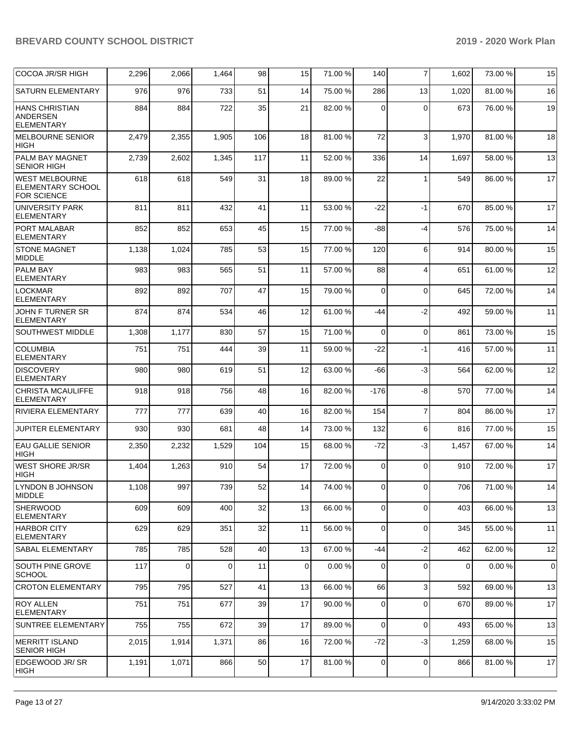| COCOA JR/SR HIGH                                                 | 2,296 | 2,066    | 1,464    | 98  | 15          | 71.00%  | 140            | $\overline{7}$          | 1,602 | 73.00 % | 15          |
|------------------------------------------------------------------|-------|----------|----------|-----|-------------|---------|----------------|-------------------------|-------|---------|-------------|
| <b>SATURN ELEMENTARY</b>                                         | 976   | 976      | 733      | 51  | 14          | 75.00 % | 286            | 13                      | 1,020 | 81.00%  | 16          |
| <b>HANS CHRISTIAN</b><br><b>ANDERSEN</b><br><b>ELEMENTARY</b>    | 884   | 884      | 722      | 35  | 21          | 82.00 % | 0              | $\Omega$                | 673   | 76.00 % | 19          |
| MELBOURNE SENIOR<br><b>HIGH</b>                                  | 2,479 | 2,355    | 1,905    | 106 | 18          | 81.00%  | 72             | 3                       | 1,970 | 81.00%  | 18          |
| <b>PALM BAY MAGNET</b><br><b>SENIOR HIGH</b>                     | 2,739 | 2,602    | 1,345    | 117 | 11          | 52.00 % | 336            | 14                      | 1,697 | 58.00 % | 13          |
| <b>WEST MELBOURNE</b><br>ELEMENTARY SCHOOL<br><b>FOR SCIENCE</b> | 618   | 618      | 549      | 31  | 18          | 89.00 % | 22             | $\mathbf{1}$            | 549   | 86.00 % | 17          |
| <b>UNIVERSITY PARK</b><br><b>ELEMENTARY</b>                      | 811   | 811      | 432      | 41  | 11          | 53.00 % | $-22$          | $-1$                    | 670   | 85.00 % | 17          |
| PORT MALABAR<br>ELEMENTARY                                       | 852   | 852      | 653      | 45  | 15          | 77.00 % | $-88$          | $-4$                    | 576   | 75.00 % | 14          |
| <b>STONE MAGNET</b><br><b>MIDDLE</b>                             | 1,138 | 1,024    | 785      | 53  | 15          | 77.00 % | 120            | 6                       | 914   | 80.00%  | 15          |
| <b>PALM BAY</b><br><b>ELEMENTARY</b>                             | 983   | 983      | 565      | 51  | 11          | 57.00 % | 88             | $\overline{\mathbf{4}}$ | 651   | 61.00%  | 12          |
| <b>LOCKMAR</b><br><b>ELEMENTARY</b>                              | 892   | 892      | 707      | 47  | 15          | 79.00 % | $\mathbf 0$    | $\Omega$                | 645   | 72.00 % | 14          |
| JOHN F TURNER SR<br><b>ELEMENTARY</b>                            | 874   | 874      | 534      | 46  | 12          | 61.00%  | -44            | $-2$                    | 492   | 59.00 % | 11          |
| <b>SOUTHWEST MIDDLE</b>                                          | 1,308 | 1,177    | 830      | 57  | 15          | 71.00 % | $\mathbf 0$    | $\mathbf 0$             | 861   | 73.00 % | 15          |
| <b>COLUMBIA</b><br><b>ELEMENTARY</b>                             | 751   | 751      | 444      | 39  | 11          | 59.00 % | -22            | $-1$                    | 416   | 57.00 % | 11          |
| <b>DISCOVERY</b><br><b>ELEMENTARY</b>                            | 980   | 980      | 619      | 51  | 12          | 63.00 % | $-66$          | $-3$                    | 564   | 62.00 % | 12          |
| <b>CHRISTA MCAULIFFE</b><br><b>ELEMENTARY</b>                    | 918   | 918      | 756      | 48  | 16          | 82.00 % | $-176$         | -8                      | 570   | 77.00 % | 14          |
| <b>RIVIERA ELEMENTARY</b>                                        | 777   | 777      | 639      | 40  | 16          | 82.00 % | 154            | $\overline{7}$          | 804   | 86.00 % | 17          |
| JUPITER ELEMENTARY                                               | 930   | 930      | 681      | 48  | 14          | 73.00 % | 132            | 6                       | 816   | 77.00 % | 15          |
| <b>EAU GALLIE SENIOR</b><br><b>HIGH</b>                          | 2,350 | 2,232    | 1,529    | 104 | 15          | 68.00 % | $-72$          | $-3$                    | 1,457 | 67.00 % | 14          |
| <b>WEST SHORE JR/SR</b><br><b>HIGH</b>                           | 1,404 | 1,263    | 910      | 54  | 17          | 72.00 % | $\mathbf 0$    | $\Omega$                | 910   | 72.00 % | 17          |
| LYNDON B JOHNSON<br><b>MIDDLE</b>                                | 1.108 | 997      | 739      | 52  | 14          | 74.00 % | $\overline{0}$ | $\Omega$                | 706   | 71.00 % | 14          |
| <b>SHERWOOD</b><br>ELEMENTARY                                    | 609   | 609      | 400      | 32  | 13          | 66.00 % | 0              | $\mathbf 0$             | 403   | 66.00 % | 13          |
| <b>HARBOR CITY</b><br><b>ELEMENTARY</b>                          | 629   | 629      | 351      | 32  | 11          | 56.00 % | $\mathbf 0$    | $\mathbf 0$             | 345   | 55.00 % | 11          |
| <b>SABAL ELEMENTARY</b>                                          | 785   | 785      | 528      | 40  | 13          | 67.00 % | -44            | $-2$                    | 462   | 62.00%  | 12          |
| <b>SOUTH PINE GROVE</b><br><b>SCHOOL</b>                         | 117   | $\Omega$ | $\Omega$ | 11  | $\mathbf 0$ | 0.00%   | 0              | $\Omega$                | 0     | 0.00%   | $\mathbf 0$ |
| <b>CROTON ELEMENTARY</b>                                         | 795   | 795      | 527      | 41  | 13          | 66.00 % | 66             | 3                       | 592   | 69.00 % | 13          |
| <b>ROY ALLEN</b><br>ELEMENTARY                                   | 751   | 751      | 677      | 39  | 17          | 90.00 % | 0              | $\mathbf 0$             | 670   | 89.00 % | 17          |
| SUNTREE ELEMENTARY                                               | 755   | 755      | 672      | 39  | 17          | 89.00 % | $\mathbf 0$    | $\mathbf 0$             | 493   | 65.00 % | 13          |
| MERRITT ISLAND<br><b>SENIOR HIGH</b>                             | 2,015 | 1,914    | 1,371    | 86  | 16          | 72.00 % | $-72$          | $-3$                    | 1,259 | 68.00 % | 15          |
| EDGEWOOD JR/SR<br>HIGH                                           | 1,191 | 1,071    | 866      | 50  | 17          | 81.00 % | $\mathbf 0$    | $\mathbf 0$             | 866   | 81.00 % | 17          |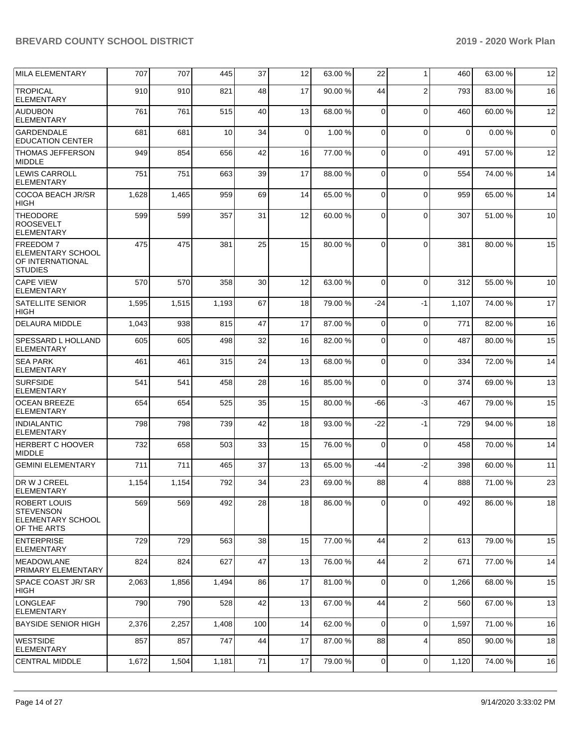| <b>MILA ELEMENTARY</b>                                                             | 707   | 707   | 445   | 37   | 12          | 63.00 % | 22          | $\mathbf{1}$   | 460         | 63.00 % | 12          |
|------------------------------------------------------------------------------------|-------|-------|-------|------|-------------|---------|-------------|----------------|-------------|---------|-------------|
| <b>TROPICAL</b><br><b>ELEMENTARY</b>                                               | 910   | 910   | 821   | 48   | 17          | 90.00 % | 44          | $\overline{2}$ | 793         | 83.00 % | 16          |
| <b>AUDUBON</b><br><b>ELEMENTARY</b>                                                | 761   | 761   | 515   | 40   | 13          | 68.00 % | $\mathbf 0$ | $\Omega$       | 460         | 60.00 % | 12          |
| <b>GARDENDALE</b><br><b>EDUCATION CENTER</b>                                       | 681   | 681   | 10    | 34   | $\mathbf 0$ | 1.00 %  | $\mathbf 0$ | $\Omega$       | $\mathbf 0$ | 0.00%   | $\mathbf 0$ |
| <b>THOMAS JEFFERSON</b><br><b>MIDDLE</b>                                           | 949   | 854   | 656   | 42   | 16          | 77.00 % | $\mathbf 0$ | $\Omega$       | 491         | 57.00 % | 12          |
| <b>LEWIS CARROLL</b><br><b>ELEMENTARY</b>                                          | 751   | 751   | 663   | 39   | 17          | 88.00 % | $\mathbf 0$ | $\Omega$       | 554         | 74.00 % | 14          |
| COCOA BEACH JR/SR<br><b>HIGH</b>                                                   | 1,628 | 1,465 | 959   | 69   | 14          | 65.00 % | $\mathbf 0$ | $\Omega$       | 959         | 65.00 % | 14          |
| <b>THEODORE</b><br><b>ROOSEVELT</b><br><b>ELEMENTARY</b>                           | 599   | 599   | 357   | 31   | 12          | 60.00 % | $\Omega$    | $\Omega$       | 307         | 51.00 % | 10          |
| <b>FREEDOM 7</b><br>ELEMENTARY SCHOOL<br><b>OF INTERNATIONAL</b><br><b>STUDIES</b> | 475   | 475   | 381   | 25   | 15          | 80.00 % | 0           | $\Omega$       | 381         | 80.00 % | 15          |
| <b>CAPE VIEW</b><br><b>ELEMENTARY</b>                                              | 570   | 570   | 358   | 30   | 12          | 63.00 % | $\Omega$    | $\Omega$       | 312         | 55.00 % | 10          |
| <b>SATELLITE SENIOR</b><br><b>HIGH</b>                                             | 1,595 | 1,515 | 1,193 | 67   | 18          | 79.00 % | -24         | $-1$           | 1,107       | 74.00 % | 17          |
| <b>DELAURA MIDDLE</b>                                                              | 1,043 | 938   | 815   | 47   | 17          | 87.00 % | $\mathbf 0$ | $\mathbf 0$    | 771         | 82.00 % | 16          |
| <b>SPESSARD L HOLLAND</b><br><b>ELEMENTARY</b>                                     | 605   | 605   | 498   | 32   | 16          | 82.00 % | 0           | $\Omega$       | 487         | 80.00 % | 15          |
| <b>SEA PARK</b><br><b>ELEMENTARY</b>                                               | 461   | 461   | 315   | 24   | 13          | 68.00 % | 0           | $\Omega$       | 334         | 72.00 % | 14          |
| <b>SURFSIDE</b><br><b>ELEMENTARY</b>                                               | 541   | 541   | 458   | 28   | 16          | 85.00 % | $\Omega$    | $\Omega$       | 374         | 69.00 % | 13          |
| <b>OCEAN BREEZE</b><br><b>ELEMENTARY</b>                                           | 654   | 654   | 525   | 35   | 15          | 80.00 % | -66         | $-3$           | 467         | 79.00 % | 15          |
| INDIALANTIC<br>ELEMENTARY                                                          | 798   | 798   | 739   | 42   | 18          | 93.00 % | $-22$       | $-1$           | 729         | 94.00 % | 18          |
| HERBERT C HOOVER<br><b>MIDDLE</b>                                                  | 732   | 658   | 503   | 33   | 15          | 76.00 % | $\mathbf 0$ | $\Omega$       | 458         | 70.00%  | 14          |
| <b>GEMINI ELEMENTARY</b>                                                           | 711   | 711   | 465   | 37   | 13          | 65.00 % | -44         | $-2$           | 398         | 60.00 % | 11          |
| DR W J CREEL<br><b>ELEMENTARY</b>                                                  | 1,154 | 1,154 | 792   | 34   | 23          | 69.00 % | 88          | $\overline{4}$ | 888         | 71.00 % | 23          |
| ROBERT LOUIS<br><b>STEVENSON</b><br><b>ELEMENTARY SCHOOL</b><br>OF THE ARTS        | 569   | 569   | 492   | 28   | 18          | 86.00 % | 0           | $\Omega$       | 492         | 86.00 % | 18          |
| <b>ENTERPRISE</b><br><b>ELEMENTARY</b>                                             | 729   | 729   | 563   | 38   | 15          | 77.00 % | 44          | $\overline{2}$ | 613         | 79.00 % | 15          |
| <b>MEADOWLANE</b><br><b>PRIMARY ELEMENTARY</b>                                     | 824   | 824   | 627   | 47   | 13          | 76.00 % | 44          | $\overline{2}$ | 671         | 77.00 % | 14          |
| SPACE COAST JR/SR<br> HIGH                                                         | 2,063 | 1,856 | 1,494 | 86   | 17          | 81.00%  | $\mathbf 0$ | $\mathbf 0$    | 1,266       | 68.00 % | 15          |
| <b>LONGLEAF</b><br><b>ELEMENTARY</b>                                               | 790   | 790   | 528   | 42   | 13          | 67.00 % | 44          | $\overline{2}$ | 560         | 67.00 % | 13          |
| <b>BAYSIDE SENIOR HIGH</b>                                                         | 2,376 | 2,257 | 1,408 | 100  | 14          | 62.00 % | 0           | $\mathbf 0$    | 1,597       | 71.00 % | 16          |
| WESTSIDE<br><b>ELEMENTARY</b>                                                      | 857   | 857   | 747   | 44   | 17          | 87.00 % | 88          | $\overline{4}$ | 850         | 90.00 % | 18          |
| <b>CENTRAL MIDDLE</b>                                                              | 1,672 | 1,504 | 1,181 | $71$ | 17          | 79.00 % | 0           | 0              | 1,120       | 74.00 % | 16          |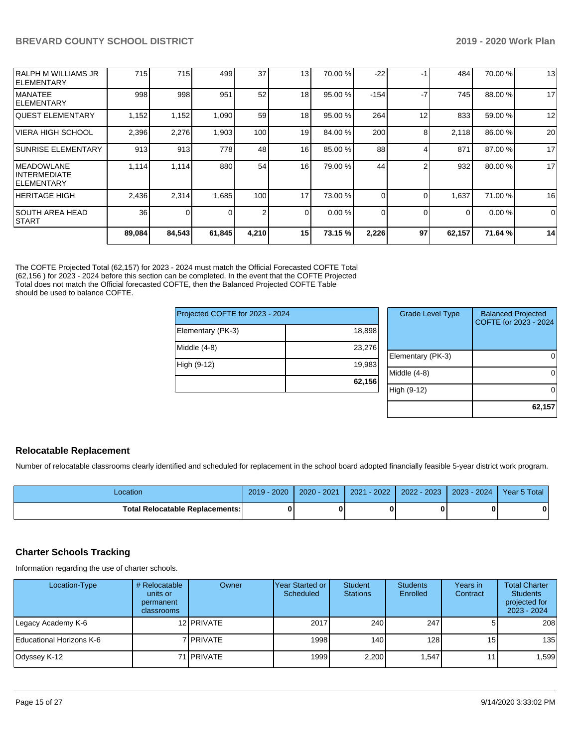| <b>SOUTH AREA HEAD</b><br><b>START</b>                   | 36    | 0     |       | 2   | $\Omega$        | 0.00%   | 0      | $\Omega$ | $\Omega$ | 0.00%   | $\Omega$ |
|----------------------------------------------------------|-------|-------|-------|-----|-----------------|---------|--------|----------|----------|---------|----------|
| <b>HERITAGE HIGH</b>                                     | 2,436 | 2,314 | 1,685 | 100 | 17              | 73.00 % |        |          | 1,637    | 71.00 % | 16       |
| <b>IMEADOWLANE</b><br>INTERMEDIATE<br><b>IELEMENTARY</b> | 1,114 | 1,114 | 880   | 54  | 16              | 79.00 % | 44     |          | 932      | 80.00 % | 17       |
| <b>SUNRISE ELEMENTARY</b>                                | 913   | 913   | 778   | 48  | 16              | 85.00 % | 88     |          | 871      | 87.00 % | 17       |
| <b>VIERA HIGH SCHOOL</b>                                 | 2,396 | 2,276 | 1,903 | 100 | 19              | 84.00%  | 200    | 8        | 2,118    | 86.00 % | 20       |
| IQUEST ELEMENTARY                                        | 1,152 | 1,152 | 1,090 | 59  | 18              | 95.00 % | 264    | 12       | 833      | 59.00 % | 12       |
| <b>MANATEE</b><br><b>IELEMENTARY</b>                     | 998   | 998   | 951   | 52  | 18              | 95.00 % | $-154$ | -7       | 745      | 88.00 % | 17       |
| RALPH M WILLIAMS JR<br><b>IELEMENTARY</b>                | 715   | 715   | 499   | 37  | 13 <sub>1</sub> | 70.00 % | $-22$  | -1       | 484      | 70.00 % | 13       |

The COFTE Projected Total (62,157) for 2023 - 2024 must match the Official Forecasted COFTE Total (62,156 ) for 2023 - 2024 before this section can be completed. In the event that the COFTE Projected Total does not match the Official forecasted COFTE, then the Balanced Projected COFTE Table should be used to balance COFTE.

| Projected COFTE for 2023 - 2024 |        |  |  |  |  |  |  |
|---------------------------------|--------|--|--|--|--|--|--|
| Elementary (PK-3)               | 18,898 |  |  |  |  |  |  |
| Middle (4-8)                    | 23,276 |  |  |  |  |  |  |
| High (9-12)                     | 19,983 |  |  |  |  |  |  |
|                                 | 62,156 |  |  |  |  |  |  |

| <b>Grade Level Type</b> | <b>Balanced Projected</b><br>COFTE for 2023 - 2024 |
|-------------------------|----------------------------------------------------|
| Elementary (PK-3)       |                                                    |
| Middle (4-8)            |                                                    |
| High (9-12)             |                                                    |
|                         | 62,157                                             |

#### **Relocatable Replacement**

Number of relocatable classrooms clearly identified and scheduled for replacement in the school board adopted financially feasible 5-year district work program.

| Location                                 | 2019 - 2020 | 2020 - 2021 |  | 2021 - 2022   2022 - 2023   2023 - 2024   Year 5 Total |
|------------------------------------------|-------------|-------------|--|--------------------------------------------------------|
| <b>Total Relocatable Replacements: I</b> |             |             |  |                                                        |

## **Charter Schools Tracking**

Information regarding the use of charter schools.

| Location-Type            | # Relocatable<br>units or<br>permanent<br>classrooms | Owner             | IYear Started or<br>Scheduled | <b>Student</b><br><b>Stations</b> | <b>Students</b><br>Enrolled | Years in<br>Contract | <b>Total Charter</b><br><b>Students</b><br>projected for<br>$2023 - 2024$ |
|--------------------------|------------------------------------------------------|-------------------|-------------------------------|-----------------------------------|-----------------------------|----------------------|---------------------------------------------------------------------------|
| Legacy Academy K-6       |                                                      | 12 PRIVATE        | 2017                          | 240                               | 247                         |                      | 208                                                                       |
| Educational Horizons K-6 |                                                      | 7 I PRIVATE       | 1998                          | 140                               | 128 <sup>1</sup>            | 15 <sub>l</sub>      | 135                                                                       |
| Odyssey K-12             |                                                      | 71 <b>PRIVATE</b> | 1999                          | 2,200                             | l.547 <b>l</b>              |                      | .599                                                                      |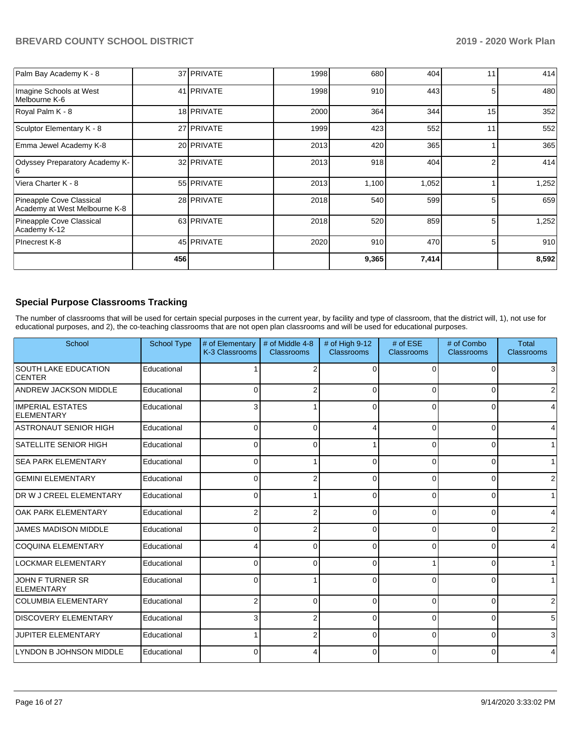| Palm Bay Academy K - 8                                    |     | 37 PRIVATE | 1998 | 680   | 404   | 11 | 414   |
|-----------------------------------------------------------|-----|------------|------|-------|-------|----|-------|
| Imagine Schools at West<br>Melbourne K-6                  |     | 41 PRIVATE | 1998 | 910   | 443   | 5  | 480   |
| Royal Palm K - 8                                          |     | 18 PRIVATE | 2000 | 364   | 344   | 15 | 352   |
| Sculptor Elementary K - 8                                 |     | 27 PRIVATE | 1999 | 423   | 552   | 11 | 552   |
| Emma Jewel Academy K-8                                    |     | 20 PRIVATE | 2013 | 420   | 365   |    | 365   |
| Odyssey Preparatory Academy K-<br>6                       |     | 32 PRIVATE | 2013 | 918   | 404   |    | 414   |
| Viera Charter K - 8                                       |     | 55 PRIVATE | 2013 | 1,100 | 1,052 |    | 1,252 |
| Pineapple Cove Classical<br>Academy at West Melbourne K-8 |     | 28 PRIVATE | 2018 | 540   | 599   |    | 659   |
| Pineapple Cove Classical<br>Academy K-12                  |     | 63 PRIVATE | 2018 | 520   | 859   | 5  | 1,252 |
| PInecrest K-8                                             |     | 45 PRIVATE | 2020 | 910   | 470   | 5  | 910   |
|                                                           | 456 |            |      | 9,365 | 7,414 |    | 8,592 |

## **Special Purpose Classrooms Tracking**

The number of classrooms that will be used for certain special purposes in the current year, by facility and type of classroom, that the district will, 1), not use for educational purposes, and 2), the co-teaching classrooms that are not open plan classrooms and will be used for educational purposes.

| School                                       | <b>School Type</b> | # of Elementary<br>K-3 Classrooms | # of Middle 4-8<br>Classrooms | # of High 9-12<br>Classrooms | # of ESE<br><b>Classrooms</b> | # of Combo<br>Classrooms | <b>Total</b><br><b>Classrooms</b> |
|----------------------------------------------|--------------------|-----------------------------------|-------------------------------|------------------------------|-------------------------------|--------------------------|-----------------------------------|
| <b>SOUTH LAKE EDUCATION</b><br><b>CENTER</b> | Educational        |                                   | $\overline{2}$                | $\Omega$                     | $\Omega$                      | ∩                        | 3                                 |
| <b>ANDREW JACKSON MIDDLE</b>                 | Educational        | 0                                 | $\overline{2}$                | $\Omega$                     | 0                             |                          | 2                                 |
| <b>IMPERIAL ESTATES</b><br>ELEMENTARY        | Educational        | 3                                 |                               | $\Omega$                     | $\Omega$                      | 0                        | 4                                 |
| <b>ASTRONAUT SENIOR HIGH</b>                 | Educational        | $\Omega$                          | $\Omega$                      | Δ                            | $\Omega$                      | $\Omega$                 | 4                                 |
| <b>SATELLITE SENIOR HIGH</b>                 | Educational        | $\Omega$                          | $\Omega$                      |                              | $\Omega$                      | 0                        | 1                                 |
| <b>SEA PARK ELEMENTARY</b>                   | Educational        | $\Omega$                          |                               | $\Omega$                     | $\Omega$                      | $\Omega$                 | 1                                 |
| <b>GEMINI ELEMENTARY</b>                     | Educational        | 0                                 | 2                             | 0                            | $\Omega$                      | ŋ                        | 2                                 |
| DR W J CREEL ELEMENTARY                      | Educational        | $\Omega$                          |                               | 0                            | $\Omega$                      | $\Omega$                 | 1                                 |
| <b>OAK PARK ELEMENTARY</b>                   | Educational        | 2                                 | 2                             | 0                            | $\Omega$                      | ŋ                        | 4                                 |
| <b>JAMES MADISON MIDDLE</b>                  | Educational        | $\Omega$                          | 2                             | 0                            | 0                             | O                        | 2                                 |
| <b>COQUINA ELEMENTARY</b>                    | Educational        | Δ                                 | $\Omega$                      | $\Omega$                     | $\Omega$                      | $\Omega$                 | 4                                 |
| <b>LOCKMAR ELEMENTARY</b>                    | Educational        | $\Omega$                          | $\Omega$                      | 0                            |                               | 0                        | 1                                 |
| JOHN F TURNER SR<br><b>ELEMENTARY</b>        | Educational        | $\Omega$                          |                               | 0                            | $\Omega$                      | 0                        |                                   |
| <b>COLUMBIA ELEMENTARY</b>                   | Educational        | 2                                 | $\Omega$                      | $\Omega$                     | $\Omega$                      | $\Omega$                 | 2                                 |
| <b>DISCOVERY ELEMENTARY</b>                  | Educational        | 3                                 | 2                             | $\Omega$                     | $\Omega$                      | ŋ                        | 5                                 |
| <b>JUPITER ELEMENTARY</b>                    | Educational        |                                   | 2                             | 0                            | $\Omega$                      | $\Omega$                 | 31                                |
| LYNDON B JOHNSON MIDDLE                      | Educational        | $\Omega$                          | 4                             | $\Omega$                     | $\Omega$                      | $\Omega$                 | 4                                 |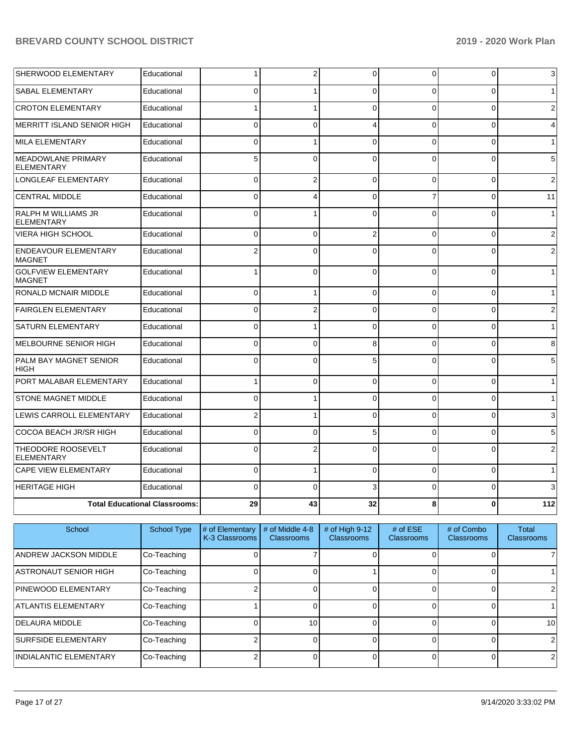| SHERWOOD ELEMENTARY                            | Educational                          | 1              | 2              | $\overline{0}$ | 0        | 0              | $\mathbf{3}$   |
|------------------------------------------------|--------------------------------------|----------------|----------------|----------------|----------|----------------|----------------|
| <b>SABAL ELEMENTARY</b>                        | Educational                          | $\Omega$       |                | $\Omega$       | $\Omega$ | 0              | $\mathbf{1}$   |
| <b>CROTON ELEMENTARY</b>                       | Educational                          | $\mathbf{1}$   | 1              | $\Omega$       | $\Omega$ | $\overline{0}$ | $\overline{2}$ |
| <b>MERRITT ISLAND SENIOR HIGH</b>              | Educational                          | $\Omega$       | $\Omega$       | 4              | $\Omega$ | $\Omega$       | $\overline{4}$ |
| MILA ELEMENTARY                                | Educational                          | $\mathbf 0$    |                | $\Omega$       | $\Omega$ | $\Omega$       | $\mathbf{1}$   |
| <b>MEADOWLANE PRIMARY</b><br><b>ELEMENTARY</b> | Educational                          | 5              | $\Omega$       | $\Omega$       | $\Omega$ | 0              | $\,$ 5 $\,$    |
| LONGLEAF ELEMENTARY                            | Educational                          | $\Omega$       | $\overline{2}$ | $\Omega$       | $\Omega$ | 0              | 2              |
| <b>CENTRAL MIDDLE</b>                          | Educational                          | $\Omega$       | 4              | $\Omega$       | 7        | 0              | 11             |
| RALPH M WILLIAMS JR<br><b>ELEMENTARY</b>       | Educational                          | $\Omega$       |                | $\Omega$       | $\Omega$ | $\Omega$       | $\mathbf{1}$   |
| <b>VIERA HIGH SCHOOL</b>                       | Educational                          | $\mathbf 0$    | 0              | $\overline{2}$ | 0        | 0              | $\overline{2}$ |
| ENDEAVOUR ELEMENTARY<br><b>MAGNET</b>          | Educational                          | $\overline{2}$ | $\Omega$       | $\Omega$       | $\Omega$ | $\Omega$       | 2              |
| <b>GOLFVIEW ELEMENTARY</b><br><b>MAGNET</b>    | Educational                          |                | 0              | $\Omega$       | $\Omega$ | $\Omega$       | $\mathbf{1}$   |
| <b>RONALD MCNAIR MIDDLE</b>                    | Educational                          | $\Omega$       | 1              | $\Omega$       | $\Omega$ | $\overline{0}$ | $\mathbf{1}$   |
| <b>FAIRGLEN ELEMENTARY</b>                     | Educational                          | $\Omega$       | $\overline{2}$ | $\Omega$       | $\Omega$ | $\overline{0}$ | $\overline{2}$ |
| <b>SATURN ELEMENTARY</b>                       | Educational                          | $\mathbf 0$    |                | $\Omega$       | $\Omega$ | $\overline{0}$ | $\mathbf{1}$   |
| <b>MELBOURNE SENIOR HIGH</b>                   | Educational                          | $\Omega$       | $\Omega$       | 8              | $\Omega$ | $\Omega$       | 8              |
| PALM BAY MAGNET SENIOR<br><b>HIGH</b>          | Educational                          | $\Omega$       | $\Omega$       | 5              | $\Omega$ | $\overline{0}$ | 5              |
| PORT MALABAR ELEMENTARY                        | Educational                          | $\mathbf{1}$   | $\Omega$       | $\Omega$       | $\Omega$ | 0              | $\mathbf{1}$   |
| <b>STONE MAGNET MIDDLE</b>                     | Educational                          | $\Omega$       | 1              | $\Omega$       | $\Omega$ | $\overline{0}$ | $\mathbf{1}$   |
| LEWIS CARROLL ELEMENTARY                       | Educational                          | $\overline{2}$ |                | $\Omega$       | $\Omega$ | $\Omega$       | $\mathbf{3}$   |
| COCOA BEACH JR/SR HIGH                         | Educational                          | $\Omega$       | 0              | 5              | $\Omega$ | 0              | 5              |
| THEODORE ROOSEVELT<br><b>ELEMENTARY</b>        | Educational                          | $\Omega$       | 2              | $\Omega$       | $\Omega$ | 0              | $\overline{2}$ |
| <b>CAPE VIEW ELEMENTARY</b>                    | Educational                          | $\mathbf 0$    | 1              | $\Omega$       | $\Omega$ | $\overline{0}$ | $\mathbf{1}$   |
| <b>HERITAGE HIGH</b>                           | Educational                          | $\Omega$       | $\Omega$       | 3              | $\Omega$ | 0              | 3              |
|                                                | <b>Total Educational Classrooms:</b> | 29             | 43             | 32             | 8        | 0              | 112            |

| School                        | <b>School Type</b> | # of Elementary<br>K-3 Classrooms | # of Middle 4-8<br><b>Classrooms</b> | $#$ of High 9-12<br>Classrooms | # of $ESE$<br><b>Classrooms</b> | # of Combo<br><b>Classrooms</b> | Total<br><b>Classrooms</b> |
|-------------------------------|--------------------|-----------------------------------|--------------------------------------|--------------------------------|---------------------------------|---------------------------------|----------------------------|
| IANDREW JACKSON MIDDLE        | Co-Teaching        |                                   |                                      |                                |                                 |                                 |                            |
| ASTRONAUT SENIOR HIGH         | Co-Teaching        |                                   |                                      |                                |                                 |                                 |                            |
| <b>PINEWOOD ELEMENTARY</b>    | Co-Teaching        |                                   |                                      |                                |                                 |                                 |                            |
| ATLANTIS ELEMENTARY           | Co-Teaching        |                                   |                                      |                                |                                 |                                 |                            |
| <b>IDELAURA MIDDLE</b>        | Co-Teaching        |                                   | 10                                   |                                |                                 |                                 | 10 <sup>1</sup>            |
| <b>SURFSIDE ELEMENTARY</b>    | Co-Teaching        |                                   |                                      |                                |                                 |                                 |                            |
| <b>INDIALANTIC ELEMENTARY</b> | Co-Teaching        |                                   |                                      |                                |                                 |                                 | 2                          |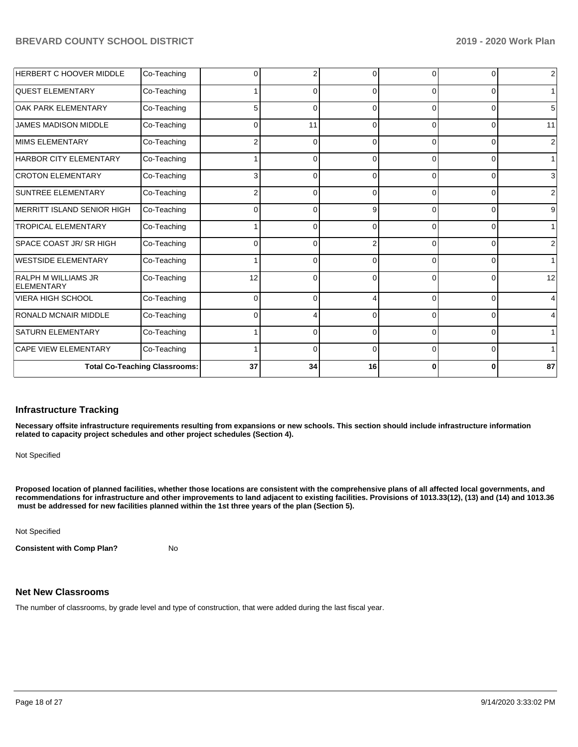| HERBERT C HOOVER MIDDLE                         | Co-Teaching                          |          | 2        | ∩        | 0        | $\Omega$       | $\overline{2}$  |
|-------------------------------------------------|--------------------------------------|----------|----------|----------|----------|----------------|-----------------|
| <b>QUEST ELEMENTARY</b>                         | Co-Teaching                          |          | $\Omega$ | $\Omega$ | 0        | $\Omega$       | 1               |
| OAK PARK ELEMENTARY                             | Co-Teaching                          | 5        | $\Omega$ | $\Omega$ | 0        | 0              | $5\overline{)}$ |
| <b>JAMES MADISON MIDDLE</b>                     | Co-Teaching                          | $\Omega$ | 11       | $\Omega$ | $\Omega$ | $\overline{0}$ | 11              |
| <b>MIMS ELEMENTARY</b>                          | Co-Teaching                          | 2        | $\Omega$ | $\Omega$ | 0        | 0              | $\overline{2}$  |
| <b>HARBOR CITY ELEMENTARY</b>                   | Co-Teaching                          |          | $\Omega$ | $\Omega$ | 0        | 0              | 1               |
| <b>CROTON ELEMENTARY</b>                        | Co-Teaching                          | 3        | $\Omega$ | $\Omega$ | 0        | 0              | $\mathbf{3}$    |
| <b>SUNTREE ELEMENTARY</b>                       | Co-Teaching                          |          | $\Omega$ | $\Omega$ | 0        | 0              | $\overline{2}$  |
| MERRITT ISLAND SENIOR HIGH                      | Co-Teaching                          | ⋂        | $\Omega$ | 9        | 0        | 0              | 9               |
| <b>TROPICAL ELEMENTARY</b>                      | Co-Teaching                          |          | $\Omega$ | $\Omega$ | 0        | 0              | 1               |
| SPACE COAST JR/ SR HIGH                         | Co-Teaching                          | n        | $\Omega$ |          | $\Omega$ | $\Omega$       | $\overline{2}$  |
| <b>WESTSIDE ELEMENTARY</b>                      | Co-Teaching                          |          | $\Omega$ | $\Omega$ | $\Omega$ | $\Omega$       | 1               |
| <b>RALPH M WILLIAMS JR</b><br><b>ELEMENTARY</b> | Co-Teaching                          | 12       | $\Omega$ | $\Omega$ | 0        | $\Omega$       | 12              |
| <b>VIERA HIGH SCHOOL</b>                        | Co-Teaching                          | $\Omega$ | $\Omega$ | Δ        | 0        | 0              | $\overline{4}$  |
| <b>RONALD MCNAIR MIDDLE</b>                     | Co-Teaching                          | n        | 4        | $\Omega$ | $\Omega$ | 0              | $\overline{4}$  |
| <b>SATURN ELEMENTARY</b>                        | Co-Teaching                          |          | $\Omega$ | $\Omega$ | 0        | 0              | 1               |
| <b>CAPE VIEW ELEMENTARY</b>                     | Co-Teaching                          |          | $\Omega$ | $\Omega$ | 0        | 0              | 1               |
|                                                 | <b>Total Co-Teaching Classrooms:</b> | 37       | 34       | 16       | 0        | 0              | 87              |

#### **Infrastructure Tracking**

**Necessary offsite infrastructure requirements resulting from expansions or new schools. This section should include infrastructure information related to capacity project schedules and other project schedules (Section 4).** 

Not Specified

**Proposed location of planned facilities, whether those locations are consistent with the comprehensive plans of all affected local governments, and recommendations for infrastructure and other improvements to land adjacent to existing facilities. Provisions of 1013.33(12), (13) and (14) and 1013.36** must be addressed for new facilities planned within the 1st three years of the plan (Section 5).

Not Specified

**Consistent with Comp Plan?** No

## **Net New Classrooms**

The number of classrooms, by grade level and type of construction, that were added during the last fiscal year.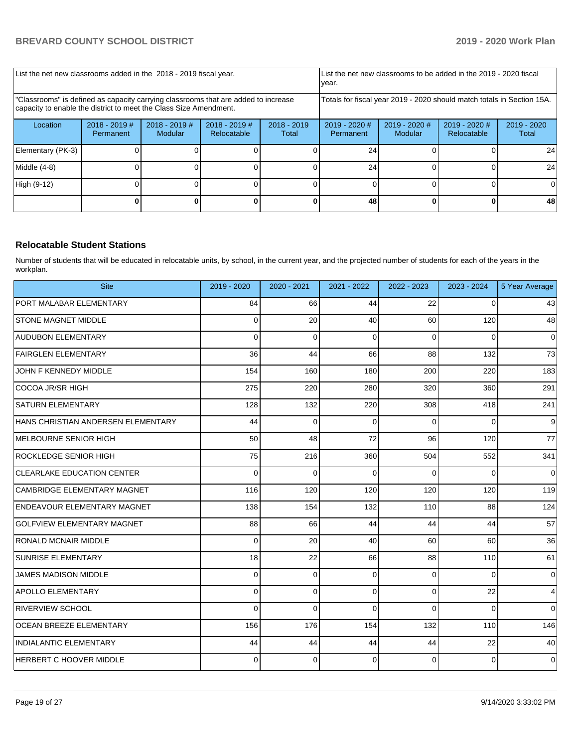| List the net new classrooms added in the 2018 - 2019 fiscal year.                                                                                       |                              |                            | List the net new classrooms to be added in the 2019 - 2020 fiscal<br>year. |                        |                                                                        |                            |                                |                        |
|---------------------------------------------------------------------------------------------------------------------------------------------------------|------------------------------|----------------------------|----------------------------------------------------------------------------|------------------------|------------------------------------------------------------------------|----------------------------|--------------------------------|------------------------|
| 'Classrooms" is defined as capacity carrying classrooms that are added to increase<br>capacity to enable the district to meet the Class Size Amendment. |                              |                            |                                                                            |                        | Totals for fiscal year 2019 - 2020 should match totals in Section 15A. |                            |                                |                        |
| Location                                                                                                                                                | $2018 - 2019$ #<br>Permanent | $2018 - 2019$ #<br>Modular | $2018 - 2019$ #<br>Relocatable                                             | $2018 - 2019$<br>Total | $2019 - 2020$ #<br>Permanent                                           | $2019 - 2020$ #<br>Modular | $2019 - 2020$ #<br>Relocatable | $2019 - 2020$<br>Total |
| Elementary (PK-3)                                                                                                                                       |                              |                            |                                                                            |                        | 24                                                                     |                            |                                | 24                     |
| Middle (4-8)                                                                                                                                            |                              |                            |                                                                            |                        | 24                                                                     |                            |                                | 24                     |
| High (9-12)                                                                                                                                             |                              |                            |                                                                            |                        |                                                                        |                            |                                | 0                      |
|                                                                                                                                                         |                              |                            |                                                                            |                        | 48                                                                     |                            |                                | 48                     |

## **Relocatable Student Stations**

Number of students that will be educated in relocatable units, by school, in the current year, and the projected number of students for each of the years in the workplan.

| <b>Site</b>                        | 2019 - 2020 | 2020 - 2021 | 2021 - 2022 | 2022 - 2023 | 2023 - 2024 | 5 Year Average |
|------------------------------------|-------------|-------------|-------------|-------------|-------------|----------------|
| PORT MALABAR ELEMENTARY            | 84          | 66          | 44          | 22          | $\Omega$    | 43             |
| <b>STONE MAGNET MIDDLE</b>         | 0           | 20          | 40          | 60          | 120         | 48             |
| <b>AUDUBON ELEMENTARY</b>          | $\Omega$    | $\Omega$    | $\Omega$    | 0           | 0           | $\mathbf 0$    |
| <b>FAIRGLEN ELEMENTARY</b>         | 36          | 44          | 66          | 88          | 132         | 73             |
| JOHN F KENNEDY MIDDLE              | 154         | 160         | 180         | 200         | 220         | 183            |
| COCOA JR/SR HIGH                   | 275         | 220         | 280         | 320         | 360         | 291            |
| <b>SATURN ELEMENTARY</b>           | 128         | 132         | 220         | 308         | 418         | 241            |
| HANS CHRISTIAN ANDERSEN ELEMENTARY | 44          | 0           | $\Omega$    | 0           | 0           | 9              |
| MELBOURNE SENIOR HIGH              | 50          | 48          | 72          | 96          | 120         | 77             |
| <b>ROCKLEDGE SENIOR HIGH</b>       | 75          | 216         | 360         | 504         | 552         | 341            |
| <b>CLEARLAKE EDUCATION CENTER</b>  | 0           | $\Omega$    | $\Omega$    | 0           | 0           | $\Omega$       |
| CAMBRIDGE ELEMENTARY MAGNET        | 116         | 120         | 120         | 120         | 120         | 119            |
| ENDEAVOUR ELEMENTARY MAGNET        | 138         | 154         | 132         | 110         | 88          | 124            |
| <b>GOLFVIEW ELEMENTARY MAGNET</b>  | 88          | 66          | 44          | 44          | 44          | 57             |
| <b>RONALD MCNAIR MIDDLE</b>        | $\Omega$    | 20          | 40          | 60          | 60          | 36             |
| <b>SUNRISE ELEMENTARY</b>          | 18          | 22          | 66          | 88          | 110         | 61             |
| <b>JAMES MADISON MIDDLE</b>        | 0           | 0           | 0           | 0           | $\Omega$    | $\mathbf 0$    |
| <b>APOLLO ELEMENTARY</b>           | $\mathbf 0$ | 0           | $\Omega$    | $\mathbf 0$ | 22          | 4              |
| <b>RIVERVIEW SCHOOL</b>            | $\Omega$    | $\Omega$    | $\Omega$    | $\Omega$    | $\Omega$    | $\Omega$       |
| <b>OCEAN BREEZE ELEMENTARY</b>     | 156         | 176         | 154         | 132         | 110         | 146            |
| <b>INDIALANTIC ELEMENTARY</b>      | 44          | 44          | 44          | 44          | 22          | 40             |
| <b>HERBERT C HOOVER MIDDLE</b>     | 0           | $\Omega$    | $\Omega$    | $\mathbf 0$ | 0           | $\mathbf 0$    |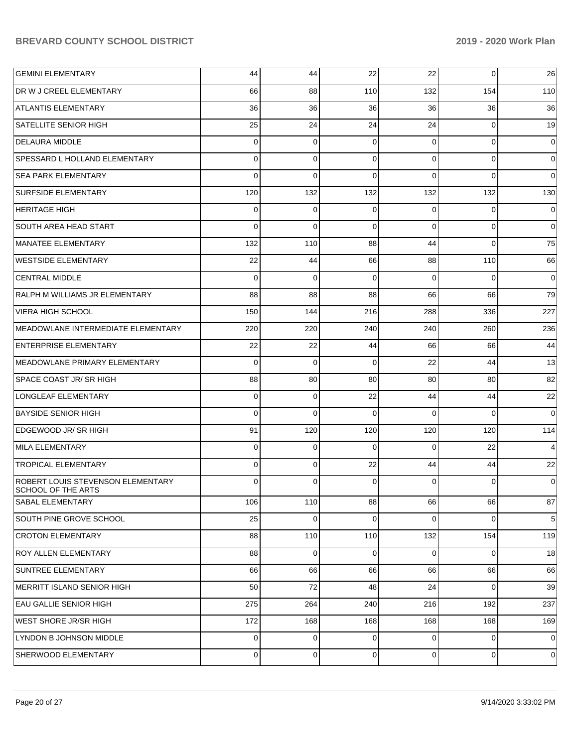| <b>GEMINI ELEMENTARY</b>                                | 44       | 44             | 22       | 22             | $\mathbf 0$ | 26             |
|---------------------------------------------------------|----------|----------------|----------|----------------|-------------|----------------|
| <b>DR W J CREEL ELEMENTARY</b>                          | 66       | 88             | 110      | 132            | 154         | 110            |
| <b>ATLANTIS ELEMENTARY</b>                              | 36       | 36             | 36       | 36             | 36          | 36             |
| <b>SATELLITE SENIOR HIGH</b>                            | 25       | 24             | 24       | 24             | 0           | 19             |
| <b>DELAURA MIDDLE</b>                                   | $\Omega$ | 0              | 0        | $\Omega$       | $\mathbf 0$ | 0              |
| SPESSARD L HOLLAND ELEMENTARY                           | $\Omega$ | $\mathbf 0$    | $\Omega$ | $\Omega$       | $\mathbf 0$ | 0              |
| <b>SEA PARK ELEMENTARY</b>                              | $\Omega$ | $\mathbf 0$    | $\Omega$ | $\Omega$       | $\Omega$    | $\Omega$       |
| <b>SURFSIDE ELEMENTARY</b>                              | 120      | 132            | 132      | 132            | 132         | 130            |
| <b>HERITAGE HIGH</b>                                    | 0        | 0              | 0        | $\Omega$       | $\Omega$    | 0              |
| <b>SOUTH AREA HEAD START</b>                            | $\Omega$ | $\mathbf 0$    | $\Omega$ | $\Omega$       | $\mathbf 0$ | 0              |
| MANATEE ELEMENTARY                                      | 132      | 110            | 88       | 44             | $\Omega$    | 75             |
| <b>WESTSIDE ELEMENTARY</b>                              | 22       | 44             | 66       | 88             | 110         | 66             |
| <b>CENTRAL MIDDLE</b>                                   | $\Omega$ | 0              | $\Omega$ | $\Omega$       | $\Omega$    | 0              |
| RALPH M WILLIAMS JR ELEMENTARY                          | 88       | 88             | 88       | 66             | 66          | 79             |
| <b>VIERA HIGH SCHOOL</b>                                | 150      | 144            | 216      | 288            | 336         | 227            |
| MEADOWLANE INTERMEDIATE ELEMENTARY                      | 220      | 220            | 240      | 240            | 260         | 236            |
| <b>ENTERPRISE ELEMENTARY</b>                            | 22       | 22             | 44       | 66             | 66          | 44             |
| MEADOWLANE PRIMARY ELEMENTARY                           | $\Omega$ | $\mathbf 0$    | 0        | 22             | 44          | 13             |
| SPACE COAST JR/ SR HIGH                                 | 88       | 80             | 80       | 80             | 80          | 82             |
| LONGLEAF ELEMENTARY                                     | $\Omega$ | $\mathbf 0$    | 22       | 44             | 44          | 22             |
| <b>BAYSIDE SENIOR HIGH</b>                              | $\Omega$ | $\mathbf 0$    | 0        | $\Omega$       | $\Omega$    | $\Omega$       |
| EDGEWOOD JR/ SR HIGH                                    | 91       | 120            | 120      | 120            | 120         | 114            |
| MILA ELEMENTARY                                         | $\Omega$ | 0              | $\Omega$ | $\Omega$       | 22          | 4              |
| <b>TROPICAL ELEMENTARY</b>                              | 0        | 0              | 22       | 44             | 44          | 22             |
| ROBERT LOUIS STEVENSON ELEMENTARY<br>SCHOOL OF THE ARTS | 0        | 0              | 0        | 0              | $\Omega$    | 0              |
| <b>SABAL ELEMENTARY</b>                                 | 106      | 110            | 88       | 66             | 66          | 87             |
| SOUTH PINE GROVE SCHOOL                                 | 25       | $\mathbf 0$    | $\Omega$ | $\Omega$       | $\mathbf 0$ | 5              |
| <b>CROTON ELEMENTARY</b>                                | 88       | 110            | 110      | 132            | 154         | 119            |
| ROY ALLEN ELEMENTARY                                    | 88       | $\overline{0}$ | 0        | $\overline{0}$ | 0           | 18             |
| SUNTREE ELEMENTARY                                      | 66       | 66             | 66       | 66             | 66          | 66             |
| MERRITT ISLAND SENIOR HIGH                              | 50       | 72             | 48       | 24             | $\mathbf 0$ | 39             |
| <b>EAU GALLIE SENIOR HIGH</b>                           | 275      | 264            | 240      | 216            | 192         | 237            |
| WEST SHORE JR/SR HIGH                                   | 172      | 168            | 168      | 168            | 168         | 169            |
| LYNDON B JOHNSON MIDDLE                                 | 0        | $\mathbf{0}$   | 0        | $\Omega$       | $\mathbf 0$ | $\mathbf 0$    |
| SHERWOOD ELEMENTARY                                     | 0        | $\mathbf 0$    | 0        | $\overline{0}$ | 0           | $\overline{0}$ |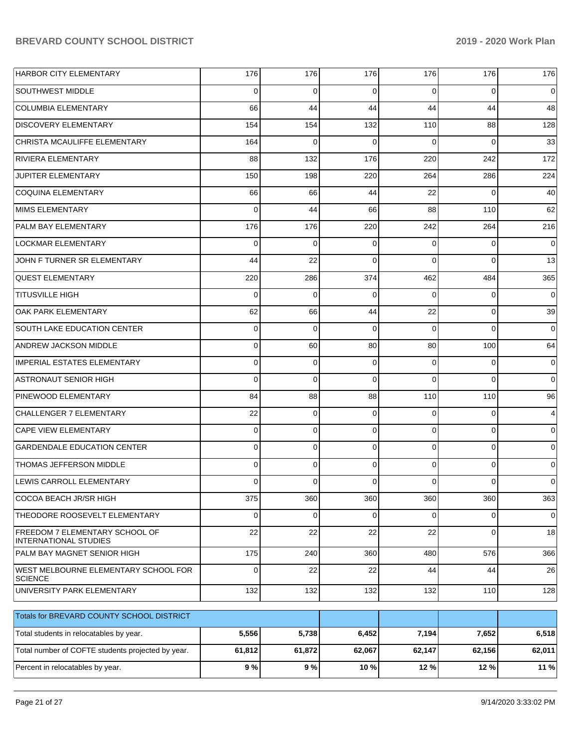| HARBOR CITY ELEMENTARY                                         | 176         | 176      | 176      | 176      | 176            | 176            |
|----------------------------------------------------------------|-------------|----------|----------|----------|----------------|----------------|
| <b>SOUTHWEST MIDDLE</b>                                        | $\Omega$    | 0        | $\Omega$ | 0        | $\overline{0}$ | $\overline{0}$ |
| COLUMBIA ELEMENTARY                                            | 66          | 44       | 44       | 44       | 44             | 48             |
| <b>DISCOVERY ELEMENTARY</b>                                    | 154         | 154      | 132      | 110      | 88             | 128            |
| CHRISTA MCAULIFFE ELEMENTARY                                   | 164         | 0        | $\Omega$ | $\Omega$ | $\Omega$       | 33             |
| <b>RIVIERA ELEMENTARY</b>                                      | 88          | 132      | 176      | 220      | 242            | 172            |
| JUPITER ELEMENTARY                                             | 150         | 198      | 220      | 264      | 286            | 224            |
| COQUINA ELEMENTARY                                             | 66          | 66       | 44       | 22       | $\Omega$       | 40             |
| MIMS ELEMENTARY                                                | $\Omega$    | 44       | 66       | 88       | 110            | 62             |
| <b>PALM BAY ELEMENTARY</b>                                     | 176         | 176      | 220      | 242      | 264            | 216            |
| <b>LOCKMAR ELEMENTARY</b>                                      | $\Omega$    | $\Omega$ | $\Omega$ | $\Omega$ | $\Omega$       | $\overline{0}$ |
| JOHN F TURNER SR ELEMENTARY                                    | 44          | 22       | $\Omega$ | $\Omega$ | $\Omega$       | 13             |
| <b>QUEST ELEMENTARY</b>                                        | 220         | 286      | 374      | 462      | 484            | 365            |
| <b>TITUSVILLE HIGH</b>                                         | $\Omega$    | 0        | $\Omega$ | $\Omega$ | $\overline{0}$ | $\overline{0}$ |
| OAK PARK ELEMENTARY                                            | 62          | 66       | 44       | 22       | $\Omega$       | 39             |
| SOUTH LAKE EDUCATION CENTER                                    | 0           | $\Omega$ | $\Omega$ | $\Omega$ | $\Omega$       | $\overline{0}$ |
| ANDREW JACKSON MIDDLE                                          | 0           | 60       | 80       | 80       | 100            | 64             |
| <b>IMPERIAL ESTATES ELEMENTARY</b>                             | $\Omega$    | 0        | $\Omega$ | $\Omega$ | $\overline{0}$ | $\overline{0}$ |
| <b>ASTRONAUT SENIOR HIGH</b>                                   | $\Omega$    | 0        | $\Omega$ | $\Omega$ | $\Omega$       | $\overline{0}$ |
| <b>PINEWOOD ELEMENTARY</b>                                     | 84          | 88       | 88       | 110      | 110            | 96             |
| CHALLENGER 7 ELEMENTARY                                        | 22          | $\Omega$ | $\Omega$ | $\Omega$ | $\overline{0}$ | $\overline{4}$ |
| <b>CAPE VIEW ELEMENTARY</b>                                    | $\mathbf 0$ | 0        | $\Omega$ | $\Omega$ | $\overline{0}$ | $\overline{0}$ |
| <b>GARDENDALE EDUCATION CENTER</b>                             | 0           | 0        | $\Omega$ | $\Omega$ | $\overline{0}$ | $\overline{0}$ |
| THOMAS JEFFERSON MIDDLE                                        | 0           | 0        | $\Omega$ | $\Omega$ | $\overline{0}$ | $\overline{0}$ |
| LEWIS CARROLL ELEMENTARY                                       | $\Omega$    | 0        | $\Omega$ | 0        | 0              | $\overline{0}$ |
| COCOA BEACH JR/SR HIGH                                         | 375         | 360      | 360      | 360      | 360            | 363            |
| THEODORE ROOSEVELT ELEMENTARY                                  | $\mathbf 0$ | 0        | $\Omega$ | $\Omega$ | $\overline{0}$ | $\overline{0}$ |
| FREEDOM 7 ELEMENTARY SCHOOL OF<br><b>INTERNATIONAL STUDIES</b> | 22          | 22       | 22       | 22       | $\overline{0}$ | 18             |
| PALM BAY MAGNET SENIOR HIGH                                    | 175         | 240      | 360      | 480      | 576            | 366            |
| WEST MELBOURNE ELEMENTARY SCHOOL FOR<br><b>SCIENCE</b>         | $\mathbf 0$ | 22       | 22       | 44       | 44             | 26             |
| UNIVERSITY PARK ELEMENTARY                                     | 132         | 132      | 132      | 132      | 110            | 128            |
| Totals for BREVARD COUNTY SCHOOL DISTRICT                      |             |          |          |          |                |                |
| Total students in relocatables by year.                        | 5,556       | 5,738    | 6,452    | 7,194    | 7,652          | 6,518          |
| Total number of COFTE students projected by year.              | 61,812      | 61,872   | 62,067   | 62,147   | 62,156         | 62,011         |
| Percent in relocatables by year.                               | 9%          | 9%       | 10 %     | 12 %     | 12 %           | 11 %           |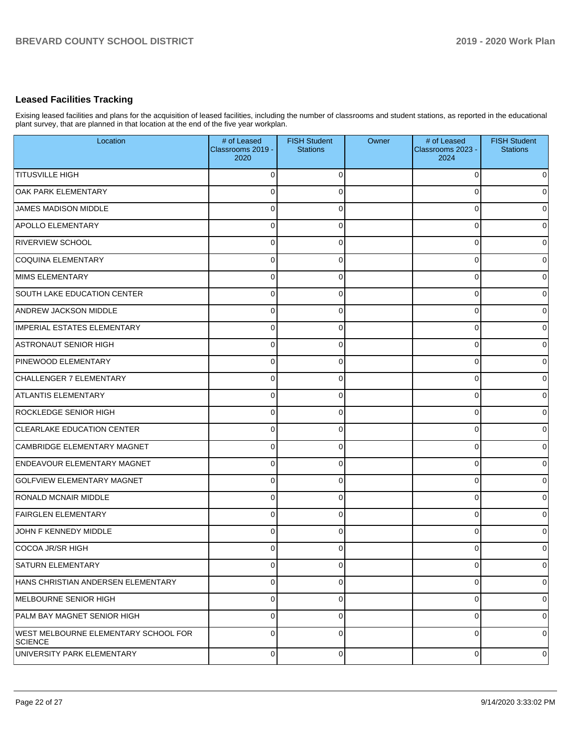## **Leased Facilities Tracking**

Exising leased facilities and plans for the acquisition of leased facilities, including the number of classrooms and student stations, as reported in the educational plant survey, that are planned in that location at the end of the five year workplan.

| Location                                               | # of Leased<br>Classrooms 2019 -<br>2020 | <b>FISH Student</b><br><b>Stations</b> | Owner | # of Leased<br>Classrooms 2023 -<br>2024 | <b>FISH Student</b><br><b>Stations</b> |
|--------------------------------------------------------|------------------------------------------|----------------------------------------|-------|------------------------------------------|----------------------------------------|
| <b>TITUSVILLE HIGH</b>                                 | $\Omega$                                 | $\Omega$                               |       | $\Omega$                                 | $\overline{0}$                         |
| OAK PARK ELEMENTARY                                    | 0                                        | $\Omega$                               |       | 0                                        | $\overline{0}$                         |
| JAMES MADISON MIDDLE                                   | $\mathbf 0$                              | $\Omega$                               |       | $\Omega$                                 | $\overline{0}$                         |
| <b>APOLLO ELEMENTARY</b>                               | $\overline{0}$                           | $\Omega$                               |       | $\Omega$                                 | $\overline{0}$                         |
| <b>RIVERVIEW SCHOOL</b>                                | $\mathbf 0$                              | $\Omega$                               |       | $\Omega$                                 | $\overline{0}$                         |
| COQUINA ELEMENTARY                                     | $\overline{0}$                           | $\Omega$                               |       | 0                                        | $\overline{0}$                         |
| MIMS ELEMENTARY                                        | 0                                        | 0                                      |       | 0                                        | $\overline{0}$                         |
| SOUTH LAKE EDUCATION CENTER                            | $\overline{0}$                           | $\Omega$                               |       | 0                                        | $\overline{0}$                         |
| <b>ANDREW JACKSON MIDDLE</b>                           | 0                                        | 0                                      |       | 0                                        | $\overline{0}$                         |
| IMPERIAL ESTATES ELEMENTARY                            | $\overline{0}$                           | 0                                      |       | 0                                        | $\overline{0}$                         |
| ASTRONAUT SENIOR HIGH                                  | 0                                        | 0                                      |       | 0                                        | $\overline{0}$                         |
| PINEWOOD ELEMENTARY                                    | 0                                        | $\Omega$                               |       | 0                                        | $\overline{0}$                         |
| CHALLENGER 7 ELEMENTARY                                | $\mathbf 0$                              | $\Omega$                               |       | 0                                        | $\overline{0}$                         |
| ATLANTIS ELEMENTARY                                    | $\mathbf 0$                              | $\Omega$                               |       | $\Omega$                                 | $\overline{0}$                         |
| <b>ROCKLEDGE SENIOR HIGH</b>                           | $\mathbf 0$                              | $\Omega$                               |       | $\Omega$                                 | $\overline{0}$                         |
| <b>CLEARLAKE EDUCATION CENTER</b>                      | $\overline{0}$                           | $\Omega$                               |       | $\Omega$                                 | $\overline{0}$                         |
| CAMBRIDGE ELEMENTARY MAGNET                            | $\mathbf 0$                              | $\Omega$                               |       | $\Omega$                                 | $\overline{0}$                         |
| <b>ENDEAVOUR ELEMENTARY MAGNET</b>                     | $\overline{0}$                           | $\Omega$                               |       | $\Omega$                                 | $\overline{0}$                         |
| <b>GOLFVIEW ELEMENTARY MAGNET</b>                      | 0                                        | $\Omega$                               |       | 0                                        | $\overline{0}$                         |
| <b>RONALD MCNAIR MIDDLE</b>                            | $\overline{0}$                           | $\Omega$                               |       | 0                                        | $\overline{0}$                         |
| <b>FAIRGLEN ELEMENTARY</b>                             | $\overline{0}$                           | 0                                      |       | 0                                        | $\overline{0}$                         |
| JOHN F KENNEDY MIDDLE                                  | $\overline{0}$                           | 0                                      |       | 0                                        | $\overline{0}$                         |
| COCOA JR/SR HIGH                                       | 0                                        | 0                                      |       | 0                                        | $\overline{0}$                         |
| SATURN ELEMENTARY                                      | 0                                        | $\Omega$                               |       | $\Omega$                                 | $\overline{0}$                         |
| HANS CHRISTIAN ANDERSEN ELEMENTARY                     | $\overline{0}$                           | $\Omega$                               |       | 0                                        | $\overline{0}$                         |
| MELBOURNE SENIOR HIGH                                  | $\mathbf 0$                              | $\Omega$                               |       | $\mathbf 0$                              | $\overline{0}$                         |
| PALM BAY MAGNET SENIOR HIGH                            | $\overline{0}$                           | $\Omega$                               |       | $\mathbf 0$                              | $\overline{0}$                         |
| WEST MELBOURNE ELEMENTARY SCHOOL FOR<br><b>SCIENCE</b> | $\mathbf 0$                              | $\Omega$                               |       | $\mathbf 0$                              | $\overline{0}$                         |
| UNIVERSITY PARK ELEMENTARY                             | $\overline{0}$                           | $\mathbf 0$                            |       | 0                                        | $\overline{0}$                         |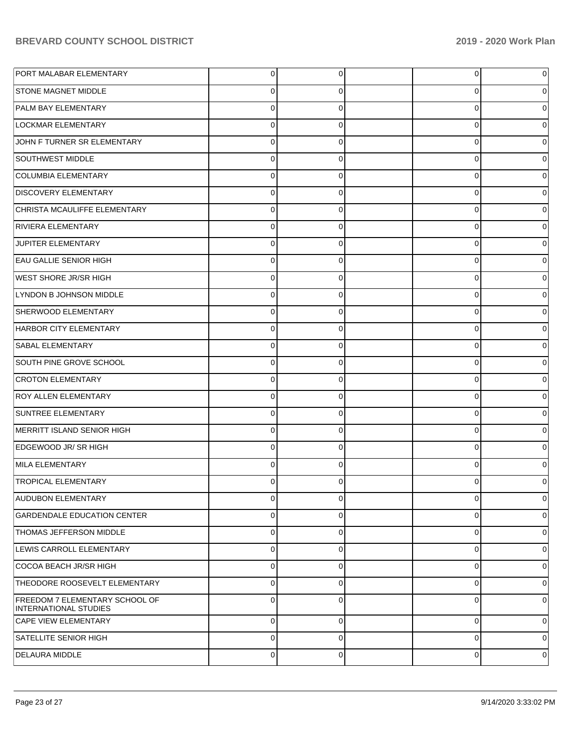| PORT MALABAR ELEMENTARY                                        | $\overline{0}$ | 0           | 0        | 0              |
|----------------------------------------------------------------|----------------|-------------|----------|----------------|
| <b>STONE MAGNET MIDDLE</b>                                     | $\Omega$       | $\Omega$    | 0        | $\overline{0}$ |
| PALM BAY ELEMENTARY                                            | $\Omega$       | $\Omega$    | $\Omega$ | $\overline{0}$ |
| <b>LOCKMAR ELEMENTARY</b>                                      | $\Omega$       | 0           | $\Omega$ | $\overline{0}$ |
| JOHN F TURNER SR ELEMENTARY                                    | $\Omega$       | $\Omega$    | $\Omega$ | $\overline{0}$ |
| SOUTHWEST MIDDLE                                               | $\Omega$       | 0           | $\Omega$ | $\overline{0}$ |
| <b>COLUMBIA ELEMENTARY</b>                                     | $\Omega$       | $\Omega$    | $\Omega$ | $\overline{0}$ |
| <b>DISCOVERY ELEMENTARY</b>                                    | $\Omega$       | 0           | $\Omega$ | $\overline{0}$ |
| CHRISTA MCAULIFFE ELEMENTARY                                   | $\Omega$       | $\Omega$    | $\Omega$ | $\overline{0}$ |
| RIVIERA ELEMENTARY                                             | $\Omega$       | 0           | $\Omega$ | $\overline{0}$ |
| <b>JUPITER ELEMENTARY</b>                                      | $\Omega$       | $\Omega$    | $\Omega$ | $\overline{0}$ |
| <b>EAU GALLIE SENIOR HIGH</b>                                  | $\Omega$       | 0           | $\Omega$ | $\overline{0}$ |
| <b>WEST SHORE JR/SR HIGH</b>                                   | $\Omega$       | $\Omega$    | $\Omega$ | $\overline{0}$ |
| LYNDON B JOHNSON MIDDLE                                        | $\Omega$       | 0           | $\Omega$ | $\overline{0}$ |
| SHERWOOD ELEMENTARY                                            | $\Omega$       | $\Omega$    | $\Omega$ | $\overline{0}$ |
| HARBOR CITY ELEMENTARY                                         | $\Omega$       | 0           | $\Omega$ | $\overline{0}$ |
| <b>SABAL ELEMENTARY</b>                                        | $\Omega$       | $\Omega$    | $\Omega$ | $\overline{0}$ |
| SOUTH PINE GROVE SCHOOL                                        | $\Omega$       | 0           | 0        | $\overline{0}$ |
| <b>CROTON ELEMENTARY</b>                                       | $\Omega$       | $\Omega$    | $\Omega$ | $\overline{0}$ |
| <b>ROY ALLEN ELEMENTARY</b>                                    | $\Omega$       | 0           | 0        | $\overline{0}$ |
| <b>SUNTREE ELEMENTARY</b>                                      | $\Omega$       | $\Omega$    | $\Omega$ | $\overline{0}$ |
| MERRITT ISLAND SENIOR HIGH                                     | $\Omega$       | 0           | $\Omega$ | $\overline{0}$ |
| EDGEWOOD JR/SR HIGH                                            | $\Omega$       | $\Omega$    | $\Omega$ | $\overline{0}$ |
| MILA ELEMENTARY                                                | $\Omega$       | 0           | $\Omega$ | $\overline{0}$ |
| <b>TROPICAL ELEMENTARY</b>                                     | $\Omega$       | $\Omega$    | O        | $\overline{0}$ |
| <b>AUDUBON ELEMENTARY</b>                                      | $\overline{0}$ | 0           | 0        | 0              |
| <b>GARDENDALE EDUCATION CENTER</b>                             | $\Omega$       | $\Omega$    | $\Omega$ | $\overline{0}$ |
| <b>THOMAS JEFFERSON MIDDLE</b>                                 | $\Omega$       | $\Omega$    | $\Omega$ | $\overline{0}$ |
| LEWIS CARROLL ELEMENTARY                                       | $\Omega$       | $\Omega$    | 0        | $\overline{0}$ |
| COCOA BEACH JR/SR HIGH                                         | $\Omega$       | $\Omega$    | $\Omega$ | $\overline{0}$ |
| THEODORE ROOSEVELT ELEMENTARY                                  | $\mathbf 0$    | $\Omega$    | 0        | $\overline{0}$ |
| FREEDOM 7 ELEMENTARY SCHOOL OF<br><b>INTERNATIONAL STUDIES</b> | $\Omega$       | $\Omega$    | 0        | $\overline{0}$ |
| <b>CAPE VIEW ELEMENTARY</b>                                    | $\mathbf 0$    | $\mathbf 0$ | 0        | $\overline{0}$ |
| <b>SATELLITE SENIOR HIGH</b>                                   | $\mathbf 0$    | $\Omega$    | 0        | 0              |
| <b>DELAURA MIDDLE</b>                                          | $\mathbf 0$    | 0           | 0        | 0              |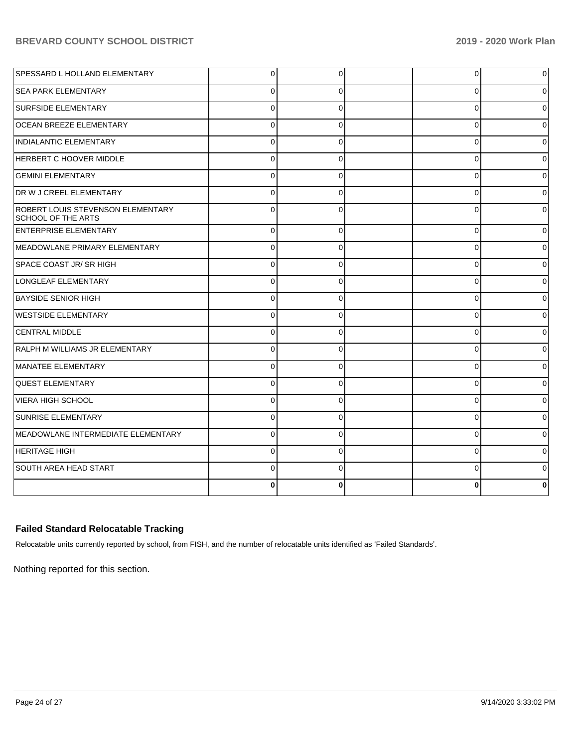| <b>SPESSARD L HOLLAND ELEMENTARY</b>                           | 0        | 0        | 0        | $\overline{0}$ |
|----------------------------------------------------------------|----------|----------|----------|----------------|
| <b>SEA PARK ELEMENTARY</b>                                     |          | 0        | U        | 0              |
| <b>SURFSIDE ELEMENTARY</b>                                     | $\Omega$ | $\Omega$ | $\Omega$ | $\Omega$       |
| <b>OCEAN BREEZE ELEMENTARY</b>                                 | $\Omega$ | $\Omega$ | $\Omega$ | $\Omega$       |
| INDIALANTIC ELEMENTARY                                         | $\Omega$ | $\Omega$ | $\Omega$ | $\Omega$       |
| <b>HERBERT C HOOVER MIDDLE</b>                                 | $\Omega$ | $\Omega$ | $\Omega$ | 0              |
| <b>GEMINI ELEMENTARY</b>                                       | $\Omega$ | $\Omega$ | $\Omega$ | $\Omega$       |
| DR W J CREEL ELEMENTARY                                        | $\Omega$ | 0        | $\Omega$ | $\Omega$       |
| ROBERT LOUIS STEVENSON ELEMENTARY<br><b>SCHOOL OF THE ARTS</b> | $\Omega$ | $\Omega$ | $\Omega$ | 0              |
| ENTERPRISE ELEMENTARY                                          | $\Omega$ | 0        | $\Omega$ | 0              |
| MEADOWLANE PRIMARY ELEMENTARY                                  |          | $\Omega$ | ∩        | $\Omega$       |
| SPACE COAST JR/ SR HIGH                                        |          | 0        | O        | 0              |
| LONGLEAF ELEMENTARY                                            |          | ∩        |          | 0              |
| <b>BAYSIDE SENIOR HIGH</b>                                     |          | 0        | n        | 0              |
| <b>WESTSIDE ELEMENTARY</b>                                     |          | 0        |          | 0              |
| <b>CENTRAL MIDDLE</b>                                          |          | 0        | 0        | 0              |
| RALPH M WILLIAMS JR ELEMENTARY                                 | ∩        | 0        | 0        | 0              |
| MANATEE ELEMENTARY                                             | $\Omega$ | $\Omega$ | $\Omega$ | 0              |
| <b>QUEST ELEMENTARY</b>                                        |          | 0        | n        | 0              |
| VIERA HIGH SCHOOL                                              | ∩        | 0        | 0        | 0              |
| SUNRISE ELEMENTARY                                             | $\Omega$ | $\Omega$ | $\Omega$ | 0              |
| MEADOWLANE INTERMEDIATE ELEMENTARY                             | $\Omega$ | 0        | $\Omega$ | 0              |
| <b>HERITAGE HIGH</b>                                           | $\Omega$ | 0        | $\Omega$ | 0              |
| SOUTH AREA HEAD START                                          | $\Omega$ | $\Omega$ | $\Omega$ | 0              |
|                                                                |          | 0        |          | 0              |

## **Failed Standard Relocatable Tracking**

Relocatable units currently reported by school, from FISH, and the number of relocatable units identified as 'Failed Standards'.

Nothing reported for this section.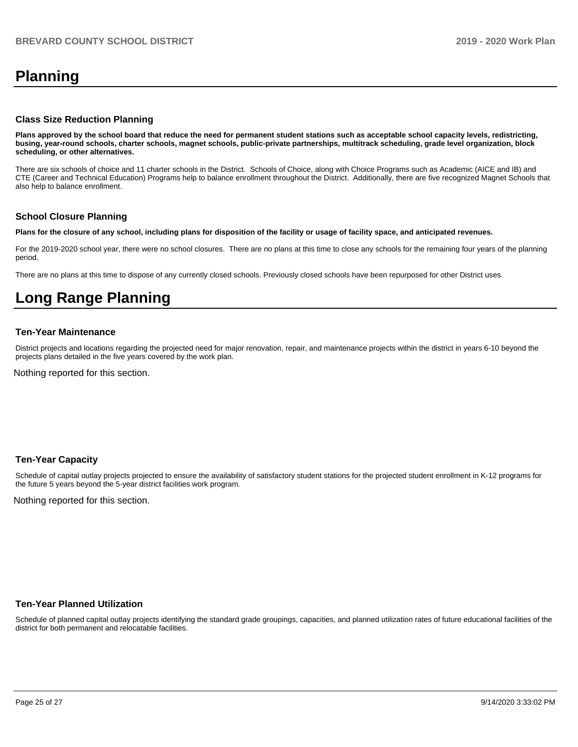## **Planning**

#### **Class Size Reduction Planning**

**Plans approved by the school board that reduce the need for permanent student stations such as acceptable school capacity levels, redistricting, busing, year-round schools, charter schools, magnet schools, public-private partnerships, multitrack scheduling, grade level organization, block scheduling, or other alternatives.**

There are six schools of choice and 11 charter schools in the District. Schools of Choice, along with Choice Programs such as Academic (AICE and IB) and CTE (Career and Technical Education) Programs help to balance enrollment throughout the District. Additionally, there are five recognized Magnet Schools that also help to balance enrollment.

#### **School Closure Planning**

**Plans for the closure of any school, including plans for disposition of the facility or usage of facility space, and anticipated revenues.** 

For the 2019-2020 school year, there were no school closures. There are no plans at this time to close any schools for the remaining four years of the planning period.

There are no plans at this time to dispose of any currently closed schools. Previously closed schools have been repurposed for other District uses.

## **Long Range Planning**

#### **Ten-Year Maintenance**

District projects and locations regarding the projected need for major renovation, repair, and maintenance projects within the district in years 6-10 beyond the projects plans detailed in the five years covered by the work plan.

Nothing reported for this section.

#### **Ten-Year Capacity**

Schedule of capital outlay projects projected to ensure the availability of satisfactory student stations for the projected student enrollment in K-12 programs for the future 5 years beyond the 5-year district facilities work program.

Nothing reported for this section.

#### **Ten-Year Planned Utilization**

Schedule of planned capital outlay projects identifying the standard grade groupings, capacities, and planned utilization rates of future educational facilities of the district for both permanent and relocatable facilities.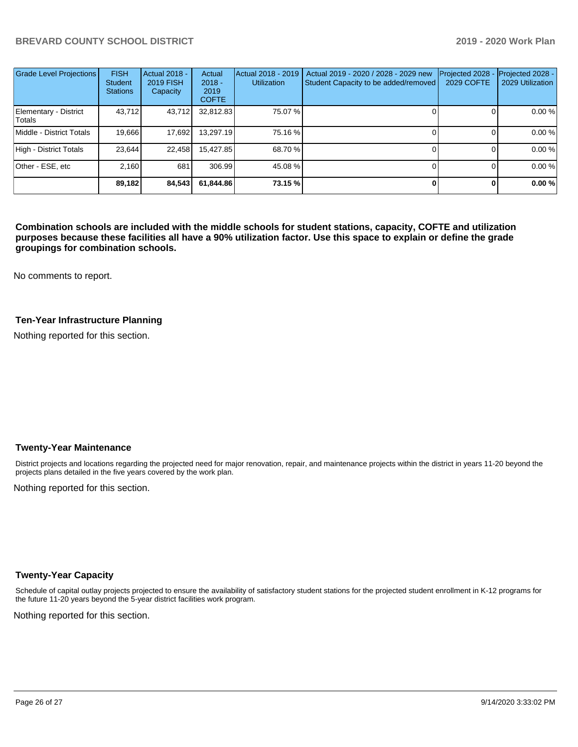| <b>Grade Level Projections</b>  | <b>FISH</b><br><b>Student</b><br><b>Stations</b> | Actual 2018 -<br><b>2019 FISH</b><br>Capacity | Actual<br>$2018 -$<br>2019<br><b>COFTE</b> | Actual 2018 - 2019<br><b>Utilization</b> | Actual 2019 - 2020 / 2028 - 2029 new<br>Student Capacity to be added/removed | Projected 2028<br><b>2029 COFTE</b> | Projected 2028 -<br>2029 Utilization |
|---------------------------------|--------------------------------------------------|-----------------------------------------------|--------------------------------------------|------------------------------------------|------------------------------------------------------------------------------|-------------------------------------|--------------------------------------|
| Elementary - District<br>Totals | 43.712                                           | 43,712                                        | 32,812.83                                  | 75.07 %                                  |                                                                              |                                     | 0.00 %                               |
| Middle - District Totals        | 19.666                                           | 17,692                                        | 13.297.19                                  | 75.16 %                                  |                                                                              |                                     | 0.00%                                |
| High - District Totals          | 23.644                                           | 22,458                                        | 15,427.85                                  | 68.70 %                                  |                                                                              |                                     | 0.00 %                               |
| Other - ESE, etc                | 2.160                                            | 681                                           | 306.99                                     | 45.08%                                   |                                                                              |                                     | 0.00 %                               |
|                                 | 89,182                                           | 84,543                                        | 61.844.86                                  | 73.15 %                                  |                                                                              |                                     | 0.00%                                |

**Combination schools are included with the middle schools for student stations, capacity, COFTE and utilization purposes because these facilities all have a 90% utilization factor. Use this space to explain or define the grade groupings for combination schools.** 

No comments to report.

#### **Ten-Year Infrastructure Planning**

Nothing reported for this section.

#### **Twenty-Year Maintenance**

District projects and locations regarding the projected need for major renovation, repair, and maintenance projects within the district in years 11-20 beyond the projects plans detailed in the five years covered by the work plan.

Nothing reported for this section.

#### **Twenty-Year Capacity**

Schedule of capital outlay projects projected to ensure the availability of satisfactory student stations for the projected student enrollment in K-12 programs for the future 11-20 years beyond the 5-year district facilities work program.

Nothing reported for this section.